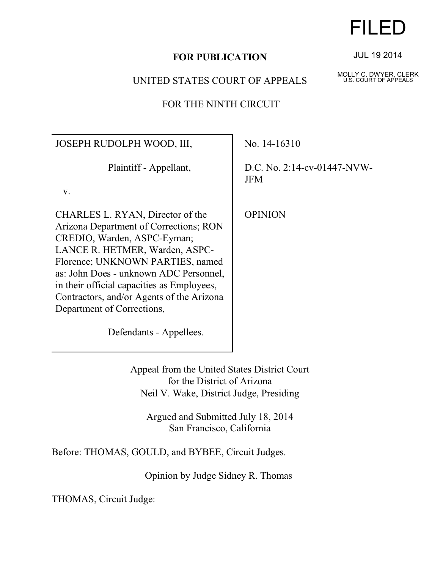# **FOR PUBLICATION**

# UNITED STATES COURT OF APPEALS

# FOR THE NINTH CIRCUIT

JOSEPH RUDOLPH WOOD, III,

Plaintiff - Appellant,

v.

CHARLES L. RYAN, Director of the Arizona Department of Corrections; RON CREDIO, Warden, ASPC-Eyman; LANCE R. HETMER, Warden, ASPC-Florence; UNKNOWN PARTIES, named as: John Does - unknown ADC Personnel, in their official capacities as Employees, Contractors, and/or Agents of the Arizona Department of Corrections,

No. 14-16310

D.C. No. 2:14-cv-01447-NVW-JFM

**OPINION** 

Defendants - Appellees.

Appeal from the United States District Court for the District of Arizona Neil V. Wake, District Judge, Presiding

Argued and Submitted July 18, 2014 San Francisco, California

Before: THOMAS, GOULD, and BYBEE, Circuit Judges.

Opinion by Judge Sidney R. Thomas

THOMAS, Circuit Judge:

JUL 19 2014

FILED

MOLLY C. DWYER, CLERK U.S. COURT OF APPEALS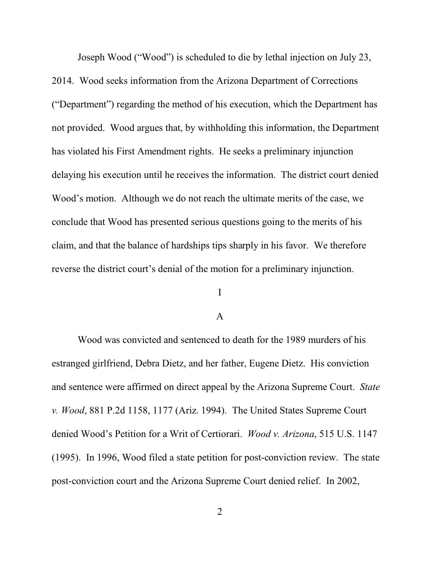Joseph Wood ("Wood") is scheduled to die by lethal injection on July 23,

2014. Wood seeks information from the Arizona Department of Corrections ("Department") regarding the method of his execution, which the Department has not provided. Wood argues that, by withholding this information, the Department has violated his First Amendment rights. He seeks a preliminary injunction delaying his execution until he receives the information. The district court denied Wood's motion. Although we do not reach the ultimate merits of the case, we conclude that Wood has presented serious questions going to the merits of his claim, and that the balance of hardships tips sharply in his favor. We therefore reverse the district court's denial of the motion for a preliminary injunction.

# I

## A

Wood was convicted and sentenced to death for the 1989 murders of his estranged girlfriend, Debra Dietz, and her father, Eugene Dietz. His conviction and sentence were affirmed on direct appeal by the Arizona Supreme Court. *State v. Wood*, 881 P.2d 1158, 1177 (Ariz. 1994). The United States Supreme Court denied Wood's Petition for a Writ of Certiorari. *Wood v. Arizona*, 515 U.S. 1147 (1995). In 1996, Wood filed a state petition for post-conviction review. The state post-conviction court and the Arizona Supreme Court denied relief. In 2002,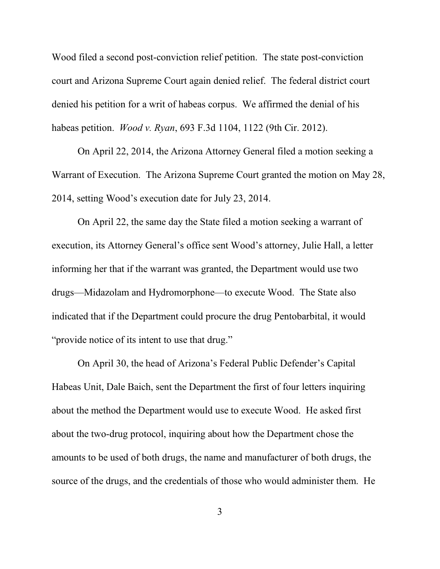Wood filed a second post-conviction relief petition. The state post-conviction court and Arizona Supreme Court again denied relief. The federal district court denied his petition for a writ of habeas corpus. We affirmed the denial of his habeas petition. *Wood v. Ryan*, 693 F.3d 1104, 1122 (9th Cir. 2012).

On April 22, 2014, the Arizona Attorney General filed a motion seeking a Warrant of Execution. The Arizona Supreme Court granted the motion on May 28, 2014, setting Wood's execution date for July 23, 2014.

On April 22, the same day the State filed a motion seeking a warrant of execution, its Attorney General's office sent Wood's attorney, Julie Hall, a letter informing her that if the warrant was granted, the Department would use two drugs—Midazolam and Hydromorphone—to execute Wood. The State also indicated that if the Department could procure the drug Pentobarbital, it would "provide notice of its intent to use that drug."

On April 30, the head of Arizona's Federal Public Defender's Capital Habeas Unit, Dale Baich, sent the Department the first of four letters inquiring about the method the Department would use to execute Wood. He asked first about the two-drug protocol, inquiring about how the Department chose the amounts to be used of both drugs, the name and manufacturer of both drugs, the source of the drugs, and the credentials of those who would administer them. He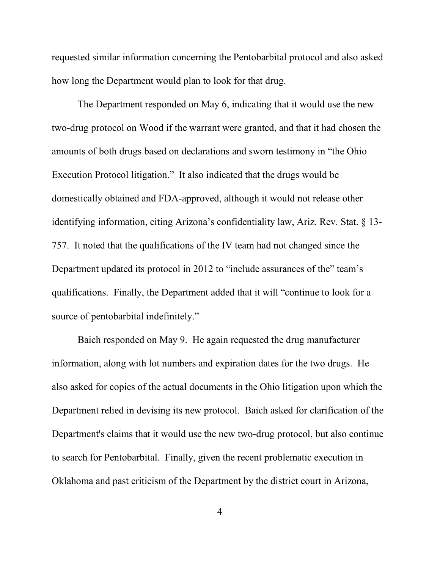requested similar information concerning the Pentobarbital protocol and also asked how long the Department would plan to look for that drug.

The Department responded on May 6, indicating that it would use the new two-drug protocol on Wood if the warrant were granted, and that it had chosen the amounts of both drugs based on declarations and sworn testimony in "the Ohio Execution Protocol litigation." It also indicated that the drugs would be domestically obtained and FDA-approved, although it would not release other identifying information, citing Arizona's confidentiality law, Ariz. Rev. Stat. § 13- 757. It noted that the qualifications of the IV team had not changed since the Department updated its protocol in 2012 to "include assurances of the" team's qualifications. Finally, the Department added that it will "continue to look for a source of pentobarbital indefinitely."

Baich responded on May 9. He again requested the drug manufacturer information, along with lot numbers and expiration dates for the two drugs. He also asked for copies of the actual documents in the Ohio litigation upon which the Department relied in devising its new protocol. Baich asked for clarification of the Department's claims that it would use the new two-drug protocol, but also continue to search for Pentobarbital. Finally, given the recent problematic execution in Oklahoma and past criticism of the Department by the district court in Arizona,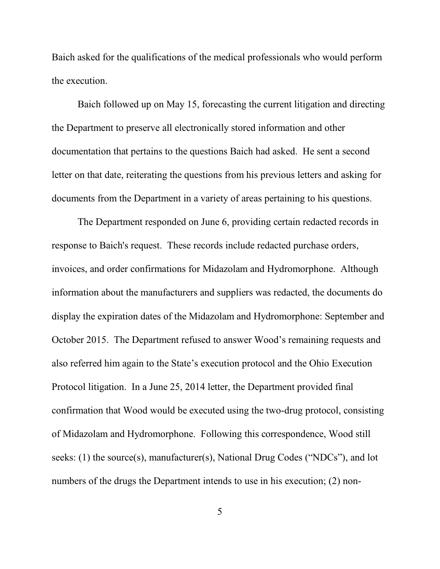Baich asked for the qualifications of the medical professionals who would perform the execution.

Baich followed up on May 15, forecasting the current litigation and directing the Department to preserve all electronically stored information and other documentation that pertains to the questions Baich had asked. He sent a second letter on that date, reiterating the questions from his previous letters and asking for documents from the Department in a variety of areas pertaining to his questions.

The Department responded on June 6, providing certain redacted records in response to Baich's request. These records include redacted purchase orders, invoices, and order confirmations for Midazolam and Hydromorphone.Although information about the manufacturers and suppliers was redacted, the documents do display the expiration dates of the Midazolam and Hydromorphone: September and October 2015. The Department refused to answer Wood's remaining requests and also referred him again to the State's execution protocol and the Ohio Execution Protocol litigation. In a June 25, 2014 letter, the Department provided final confirmation that Wood would be executed using the two-drug protocol, consisting of Midazolam and Hydromorphone. Following this correspondence, Wood still seeks: (1) the source(s), manufacturer(s), National Drug Codes ("NDCs"), and lot numbers of the drugs the Department intends to use in his execution; (2) non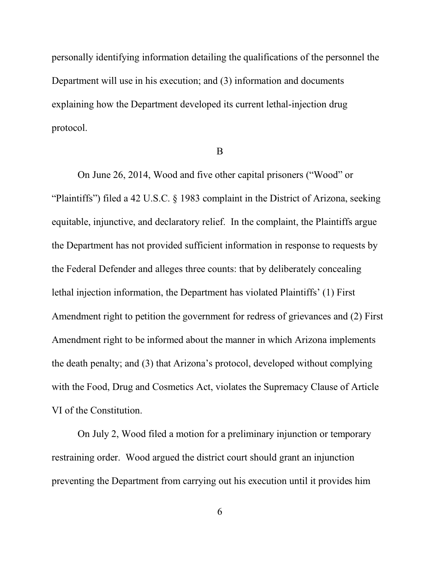personally identifying information detailing the qualifications of the personnel the Department will use in his execution; and (3) information and documents explaining how the Department developed its current lethal-injection drug protocol.

B

On June 26, 2014, Wood and five other capital prisoners ("Wood" or "Plaintiffs") filed a 42 U.S.C. § 1983 complaint in the District of Arizona, seeking equitable, injunctive, and declaratory relief. In the complaint, the Plaintiffs argue the Department has not provided sufficient information in response to requests by the Federal Defender and alleges three counts: that by deliberately concealing lethal injection information, the Department has violated Plaintiffs' (1) First Amendment right to petition the government for redress of grievances and (2) First Amendment right to be informed about the manner in which Arizona implements the death penalty; and (3) that Arizona's protocol, developed without complying with the Food, Drug and Cosmetics Act, violates the Supremacy Clause of Article VI of the Constitution.

On July 2, Wood filed a motion for a preliminary injunction or temporary restraining order. Wood argued the district court should grant an injunction preventing the Department from carrying out his execution until it provides him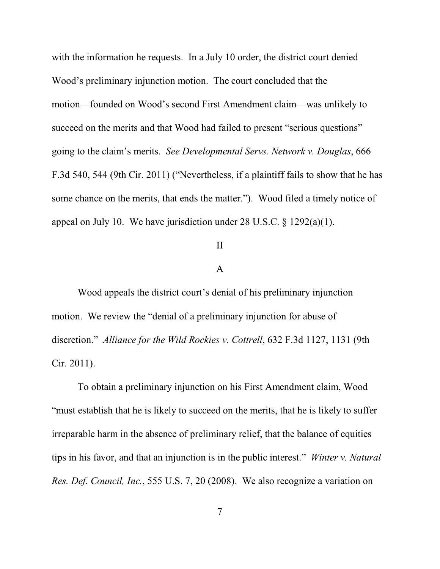with the information he requests. In a July 10 order, the district court denied Wood's preliminary injunction motion. The court concluded that the motion—founded on Wood's second First Amendment claim—was unlikely to succeed on the merits and that Wood had failed to present "serious questions" going to the claim's merits. *See Developmental Servs. Network v. Douglas*, 666 F.3d 540, 544 (9th Cir. 2011) ("Nevertheless, if a plaintiff fails to show that he has some chance on the merits, that ends the matter."). Wood filed a timely notice of appeal on July 10. We have jurisdiction under 28 U.S.C. § 1292(a)(1).

## II

## A

Wood appeals the district court's denial of his preliminary injunction motion. We review the "denial of a preliminary injunction for abuse of discretion." *Alliance for the Wild Rockies v. Cottrell*, 632 F.3d 1127, 1131 (9th Cir. 2011).

To obtain a preliminary injunction on his First Amendment claim, Wood "must establish that he is likely to succeed on the merits, that he is likely to suffer irreparable harm in the absence of preliminary relief, that the balance of equities tips in his favor, and that an injunction is in the public interest." *Winter v. Natural Res. Def. Council, Inc.*, 555 U.S. 7, 20 (2008). We also recognize a variation on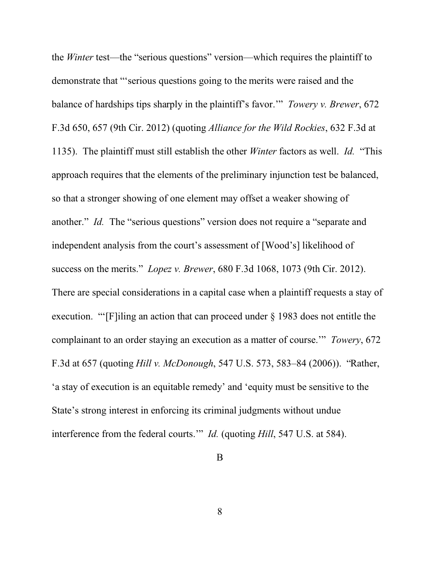the *Winter* test—the "serious questions" version—which requires the plaintiff to demonstrate that "'serious questions going to the merits were raised and the balance of hardships tips sharply in the plaintiff's favor.'" *Towery v. Brewer*, 672 F.3d 650, 657 (9th Cir. 2012) (quoting *Alliance for the Wild Rockies*, 632 F.3d at 1135). The plaintiff must still establish the other *Winter* factors as well. *Id.* "This approach requires that the elements of the preliminary injunction test be balanced, so that a stronger showing of one element may offset a weaker showing of another." *Id.* The "serious questions" version does not require a "separate and independent analysis from the court's assessment of [Wood's] likelihood of success on the merits." *Lopez v. Brewer*, 680 F.3d 1068, 1073 (9th Cir. 2012). There are special considerations in a capital case when a plaintiff requests a stay of execution. "'[F]iling an action that can proceed under § 1983 does not entitle the complainant to an order staying an execution as a matter of course.'" *Towery*, 672 F.3d at 657 (quoting *Hill v. McDonough*, 547 U.S. 573, 583–84 (2006)). "Rather, 'a stay of execution is an equitable remedy' and 'equity must be sensitive to the State's strong interest in enforcing its criminal judgments without undue interference from the federal courts." *Id.* (quoting *Hill*, 547 U.S. at 584).

## B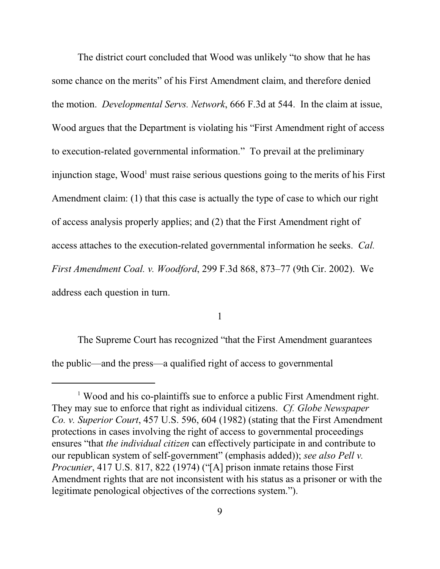The district court concluded that Wood was unlikely "to show that he has some chance on the merits" of his First Amendment claim, and therefore denied the motion. *Developmental Servs. Network*, 666 F.3d at 544. In the claim at issue, Wood argues that the Department is violating his "First Amendment right of access to execution-related governmental information." To prevail at the preliminary injunction stage, Wood<sup>1</sup> must raise serious questions going to the merits of his First Amendment claim: (1) that this case is actually the type of case to which our right of access analysis properly applies; and (2) that the First Amendment right of access attaches to the execution-related governmental information he seeks. *Cal. First Amendment Coal. v. Woodford*, 299 F.3d 868, 873–77 (9th Cir. 2002). We address each question in turn.

1

The Supreme Court has recognized "that the First Amendment guarantees the public—and the press—a qualified right of access to governmental

<sup>&</sup>lt;sup>1</sup> Wood and his co-plaintiffs sue to enforce a public First Amendment right. They may sue to enforce that right as individual citizens. *Cf. Globe Newspaper Co. v. Superior Court*, 457 U.S. 596, 604 (1982) (stating that the First Amendment protections in cases involving the right of access to governmental proceedings ensures "that *the individual citizen* can effectively participate in and contribute to our republican system of self-government" (emphasis added)); *see also Pell v. Procunier*, 417 U.S. 817, 822 (1974) ("[A] prison inmate retains those First Amendment rights that are not inconsistent with his status as a prisoner or with the legitimate penological objectives of the corrections system.").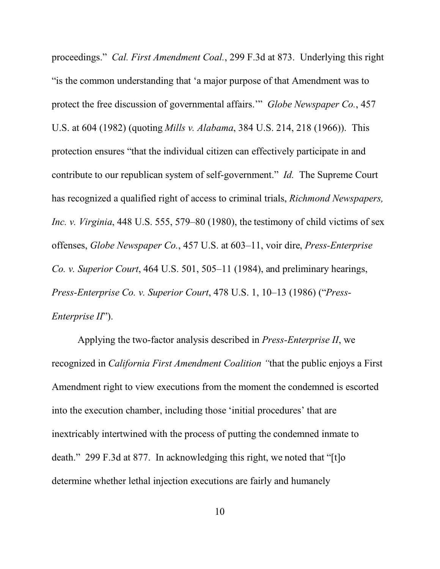proceedings." *Cal. First Amendment Coal.*, 299 F.3d at 873. Underlying this right "is the common understanding that 'a major purpose of that Amendment was to protect the free discussion of governmental affairs.'" *Globe Newspaper Co.*, 457 U.S. at 604 (1982) (quoting *Mills v. Alabama*, 384 U.S. 214, 218 (1966)). This protection ensures "that the individual citizen can effectively participate in and contribute to our republican system of self-government." *Id.* The Supreme Court has recognized a qualified right of access to criminal trials, *Richmond Newspapers, Inc. v. Virginia*, 448 U.S. 555, 579–80 (1980), the testimony of child victims of sex offenses, *Globe Newspaper Co.*, 457 U.S. at 603–11, voir dire, *Press-Enterprise Co. v. Superior Court*, 464 U.S. 501, 505–11 (1984), and preliminary hearings, *Press-Enterprise Co. v. Superior Court*, 478 U.S. 1, 10–13 (1986) ("*Press-Enterprise II*").

Applying the two-factor analysis described in *Press-Enterprise II*, we recognized in *California First Amendment Coalition "*that the public enjoys a First Amendment right to view executions from the moment the condemned is escorted into the execution chamber, including those 'initial procedures' that are inextricably intertwined with the process of putting the condemned inmate to death." 299 F.3d at 877. In acknowledging this right, we noted that "[t]o] determine whether lethal injection executions are fairly and humanely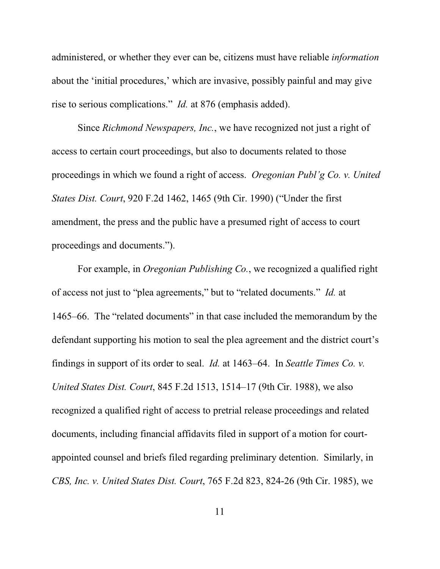administered, or whether they ever can be, citizens must have reliable *information* about the 'initial procedures,' which are invasive, possibly painful and may give rise to serious complications." *Id.* at 876 (emphasis added).

Since *Richmond Newspapers, Inc.*, we have recognized not just a right of access to certain court proceedings, but also to documents related to those proceedings in which we found a right of access. *Oregonian Publ'g Co. v. United States Dist. Court*, 920 F.2d 1462, 1465 (9th Cir. 1990) ("Under the first amendment, the press and the public have a presumed right of access to court proceedings and documents.").

For example, in *Oregonian Publishing Co.*, we recognized a qualified right of access not just to "plea agreements," but to "related documents." *Id.* at 1465–66. The "related documents" in that case included the memorandum by the defendant supporting his motion to seal the plea agreement and the district court's findings in support of its order to seal. *Id.* at 1463–64. In *Seattle Times Co. v. United States Dist. Court*, 845 F.2d 1513, 1514–17 (9th Cir. 1988), we also recognized a qualified right of access to pretrial release proceedings and related documents, including financial affidavits filed in support of a motion for courtappointed counsel and briefs filed regarding preliminary detention. Similarly, in *CBS, Inc. v. United States Dist. Court*, 765 F.2d 823, 824-26 (9th Cir. 1985), we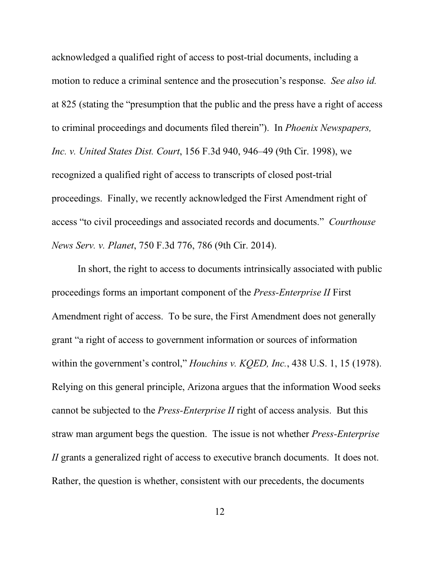acknowledged a qualified right of access to post-trial documents, including a motion to reduce a criminal sentence and the prosecution's response. *See also id.* at 825 (stating the "presumption that the public and the press have a right of access to criminal proceedings and documents filed therein"). In *Phoenix Newspapers, Inc. v. United States Dist. Court*, 156 F.3d 940, 946–49 (9th Cir. 1998), we recognized a qualified right of access to transcripts of closed post-trial proceedings. Finally, we recently acknowledged the First Amendment right of access "to civil proceedings and associated records and documents." *Courthouse News Serv. v. Planet*, 750 F.3d 776, 786 (9th Cir. 2014).

In short, the right to access to documents intrinsically associated with public proceedings forms an important component of the *Press-Enterprise II* First Amendment right of access. To be sure, the First Amendment does not generally grant "a right of access to government information or sources of information within the government's control," *Houchins v. KQED, Inc.*, 438 U.S. 1, 15 (1978). Relying on this general principle, Arizona argues that the information Wood seeks cannot be subjected to the *Press-Enterprise II* right of access analysis. But this straw man argument begs the question. The issue is not whether *Press-Enterprise II* grants a generalized right of access to executive branch documents. It does not. Rather, the question is whether, consistent with our precedents, the documents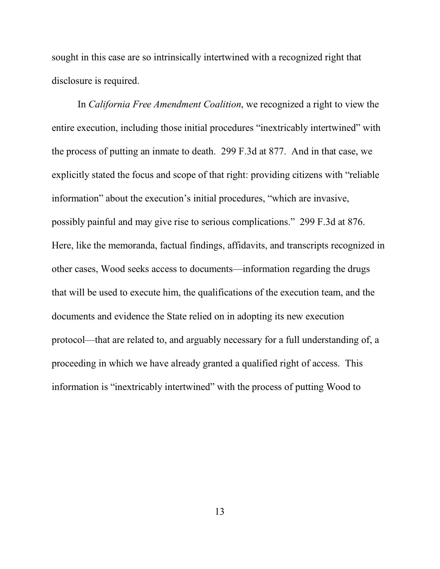sought in this case are so intrinsically intertwined with a recognized right that disclosure is required.

In *California Free Amendment Coalition*, we recognized a right to view the entire execution, including those initial procedures "inextricably intertwined" with the process of putting an inmate to death. 299 F.3d at 877. And in that case, we explicitly stated the focus and scope of that right: providing citizens with "reliable information" about the execution's initial procedures, "which are invasive, possibly painful and may give rise to serious complications." 299 F.3d at 876. Here, like the memoranda, factual findings, affidavits, and transcripts recognized in other cases, Wood seeks access to documents—information regarding the drugs that will be used to execute him, the qualifications of the execution team, and the documents and evidence the State relied on in adopting its new execution protocol—that are related to, and arguably necessary for a full understanding of, a proceeding in which we have already granted a qualified right of access. This information is "inextricably intertwined" with the process of putting Wood to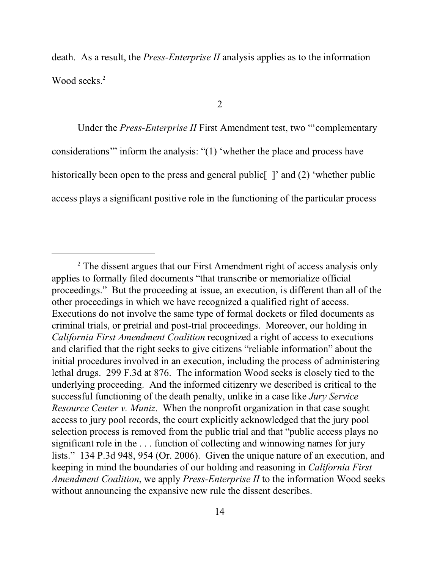death. As a result, the *Press-Enterprise II* analysis applies as to the information Wood seeks.<sup>2</sup>

2

Under the *Press-Enterprise II* First Amendment test, two "'complementary considerations'" inform the analysis: "(1) 'whether the place and process have historically been open to the press and general public [1] and (2) 'whether public access plays a significant positive role in the functioning of the particular process

<sup>&</sup>lt;sup>2</sup> The dissent argues that our First Amendment right of access analysis only applies to formally filed documents "that transcribe or memorialize official proceedings." But the proceeding at issue, an execution, is different than all of the other proceedings in which we have recognized a qualified right of access. Executions do not involve the same type of formal dockets or filed documents as criminal trials, or pretrial and post-trial proceedings. Moreover, our holding in *California First Amendment Coalition* recognized a right of access to executions and clarified that the right seeks to give citizens "reliable information" about the initial procedures involved in an execution, including the process of administering lethal drugs. 299 F.3d at 876. The information Wood seeks is closely tied to the underlying proceeding. And the informed citizenry we described is critical to the successful functioning of the death penalty, unlike in a case like *Jury Service Resource Center v. Muniz*. When the nonprofit organization in that case sought access to jury pool records, the court explicitly acknowledged that the jury pool selection process is removed from the public trial and that "public access plays no significant role in the . . . function of collecting and winnowing names for jury lists." 134 P.3d 948, 954 (Or. 2006). Given the unique nature of an execution, and keeping in mind the boundaries of our holding and reasoning in *California First Amendment Coalition*, we apply *Press-Enterprise II* to the information Wood seeks without announcing the expansive new rule the dissent describes.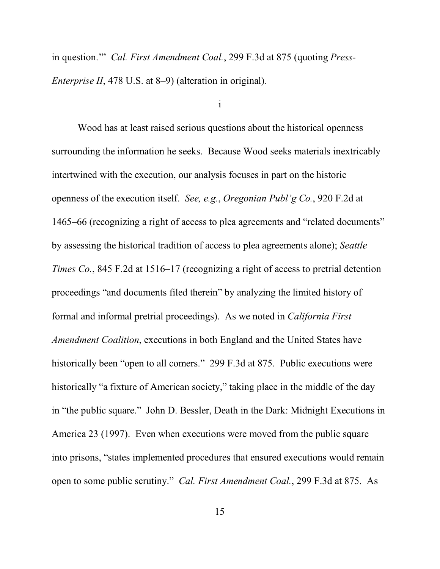in question.'" *Cal. First Amendment Coal.*, 299 F.3d at 875 (quoting *Press-Enterprise II*, 478 U.S. at 8–9) (alteration in original).

## i

Wood has at least raised serious questions about the historical openness surrounding the information he seeks. Because Wood seeks materials inextricably intertwined with the execution, our analysis focuses in part on the historic openness of the execution itself. *See, e.g.*, *Oregonian Publ'g Co.*, 920 F.2d at 1465–66 (recognizing a right of access to plea agreements and "related documents" by assessing the historical tradition of access to plea agreements alone); *Seattle Times Co.*, 845 F.2d at 1516–17 (recognizing a right of access to pretrial detention proceedings "and documents filed therein" by analyzing the limited history of formal and informal pretrial proceedings). As we noted in *California First Amendment Coalition*, executions in both England and the United States have historically been "open to all comers." 299 F.3d at 875. Public executions were historically "a fixture of American society," taking place in the middle of the day in "the public square." John D. Bessler, Death in the Dark: Midnight Executions in America 23 (1997). Even when executions were moved from the public square into prisons, "states implemented procedures that ensured executions would remain open to some public scrutiny." *Cal. First Amendment Coal.*, 299 F.3d at 875.As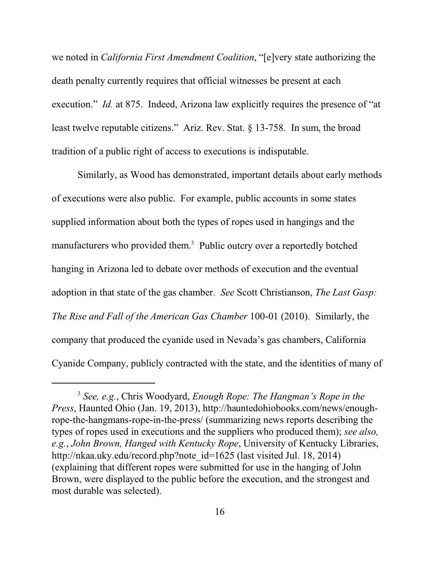we noted in *California First Amendment Coalition*, "[e]very state authorizing the death penalty currently requires that official witnesses be present at each execution." *Id.* at 875. Indeed, Arizona law explicitly requires the presence of "at least twelve reputable citizens." Ariz. Rev. Stat. § 13-758. In sum, the broad tradition of a public right of access to executions is indisputable.

Similarly, as Wood has demonstrated, important details about early methods of executions were also public. For example, public accounts in some states supplied information about both the types of ropes used in hangings and the manufacturers who provided them.<sup>3</sup> Public outcry over a reportedly botched hanging in Arizona led to debate over methods of execution and the eventual adoption in that state of the gas chamber. *See* Scott Christianson, *The Last Gasp: The Rise and Fall of the American Gas Chamber* 100-01 (2010). Similarly, the company that produced the cyanide used in Nevada's gas chambers, California Cyanide Company, publicly contracted with the state, and the identities of many of

<sup>3</sup> *See, e.g.*, Chris Woodyard, *Enough Rope: The Hangman's Rope in the Press*, Haunted Ohio (Jan. 19, 2013), http://hauntedohiobooks.com/news/enoughrope-the-hangmans-rope-in-the-press/ (summarizing news reports describing the types of ropes used in executions and the suppliers who produced them); *see also, e.g.*, *John Brown, Hanged with Kentucky Rope*, University of Kentucky Libraries, http://nkaa.uky.edu/record.php?note\_id=1625 (last visited Jul. 18, 2014) (explaining that different ropes were submitted for use in the hanging of John Brown, were displayed to the public before the execution, and the strongest and most durable was selected).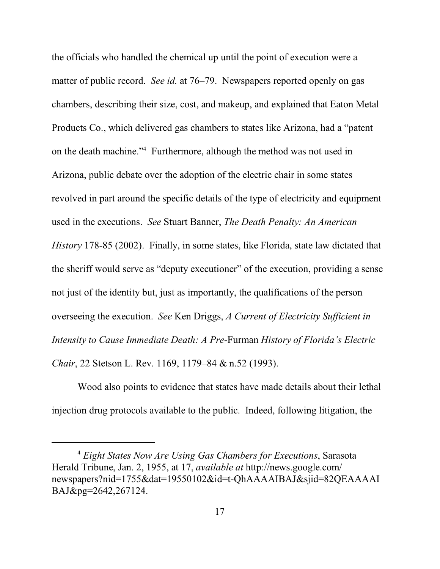the officials who handled the chemical up until the point of execution were a matter of public record. *See id.* at 76–79. Newspapers reported openly on gas chambers, describing their size, cost, and makeup, and explained that Eaton Metal Products Co., which delivered gas chambers to states like Arizona, had a "patent on the death machine."<sup>4</sup> Furthermore, although the method was not used in Arizona, public debate over the adoption of the electric chair in some states revolved in part around the specific details of the type of electricity and equipment used in the executions. *See* Stuart Banner, *The Death Penalty: An American History* 178-85 (2002). Finally, in some states, like Florida, state law dictated that the sheriff would serve as "deputy executioner" of the execution, providing a sense not just of the identity but, just as importantly, the qualifications of the person overseeing the execution. *See* Ken Driggs, *A Current of Electricity Sufficient in Intensity to Cause Immediate Death: A Pre-*Furman *History of Florida's Electric Chair*, 22 Stetson L. Rev. 1169, 1179–84 & n.52 (1993).

Wood also points to evidence that states have made details about their lethal injection drug protocols available to the public. Indeed, following litigation, the

<sup>4</sup> *Eight States Now Are Using Gas Chambers for Executions*, Sarasota Herald Tribune, Jan. 2, 1955, at 17, *available at* http://news.google.com/ newspapers?nid=1755&dat=19550102&id=t-QhAAAAIBAJ&sjid=82QEAAAAI BAJ&pg=2642,267124.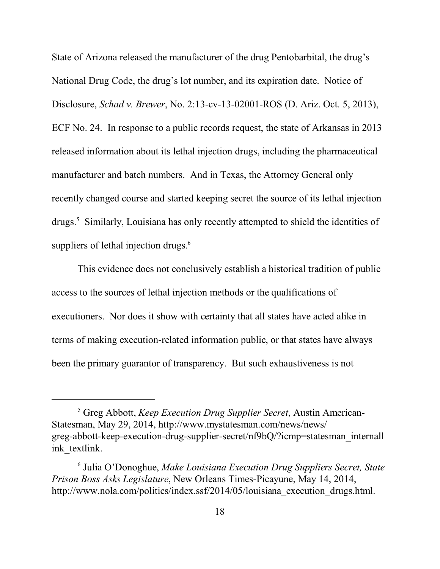State of Arizona released the manufacturer of the drug Pentobarbital, the drug's National Drug Code, the drug's lot number, and its expiration date. Notice of Disclosure, *Schad v. Brewer*, No. 2:13-cv-13-02001-ROS (D. Ariz. Oct. 5, 2013), ECF No. 24. In response to a public records request, the state of Arkansas in 2013 released information about its lethal injection drugs, including the pharmaceutical manufacturer and batch numbers. And in Texas, the Attorney General only recently changed course and started keeping secret the source of its lethal injection drugs.<sup>5</sup> Similarly, Louisiana has only recently attempted to shield the identities of suppliers of lethal injection drugs.<sup>6</sup>

This evidence does not conclusively establish a historical tradition of public access to the sources of lethal injection methods or the qualifications of executioners. Nor does it show with certainty that all states have acted alike in terms of making execution-related information public, or that states have always been the primary guarantor of transparency. But such exhaustiveness is not

<sup>5</sup> Greg Abbott, *Keep Execution Drug Supplier Secret*, Austin American-Statesman, May 29, 2014, http://www.mystatesman.com/news/news/ greg-abbott-keep-execution-drug-supplier-secret/nf9bQ/?icmp=statesman\_internall ink textlink.

<sup>6</sup> Julia O'Donoghue, *Make Louisiana Execution Drug Suppliers Secret, State Prison Boss Asks Legislature*, New Orleans Times-Picayune, May 14, 2014, http://www.nola.com/politics/index.ssf/2014/05/louisiana execution drugs.html.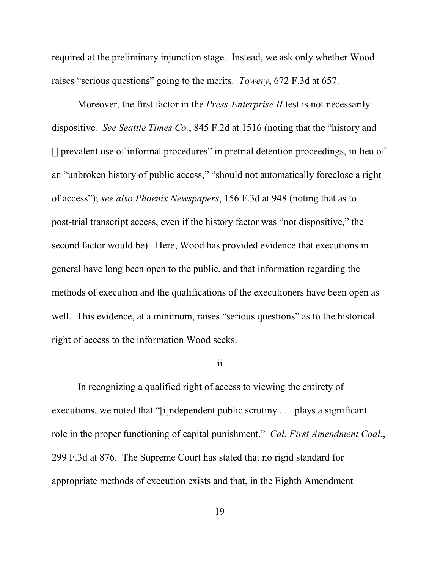required at the preliminary injunction stage. Instead, we ask only whether Wood raises "serious questions" going to the merits. *Towery*, 672 F.3d at 657.

Moreover, the first factor in the *Press-Enterprise II* test is not necessarily dispositive. *See Seattle Times Co.*, 845 F.2d at 1516 (noting that the "history and [] prevalent use of informal procedures" in pretrial detention proceedings, in lieu of an "unbroken history of public access," "should not automatically foreclose a right of access"); *see also Phoenix Newspapers*, 156 F.3d at 948 (noting that as to post-trial transcript access, even if the history factor was "not dispositive," the second factor would be). Here, Wood has provided evidence that executions in general have long been open to the public, and that information regarding the methods of execution and the qualifications of the executioners have been open as well. This evidence, at a minimum, raises "serious questions" as to the historical right of access to the information Wood seeks.

## ii

In recognizing a qualified right of access to viewing the entirety of executions, we noted that "[i]ndependent public scrutiny . . . plays a significant role in the proper functioning of capital punishment." *Cal. First Amendment Coal.*, 299 F.3d at 876. The Supreme Court has stated that no rigid standard for appropriate methods of execution exists and that, in the Eighth Amendment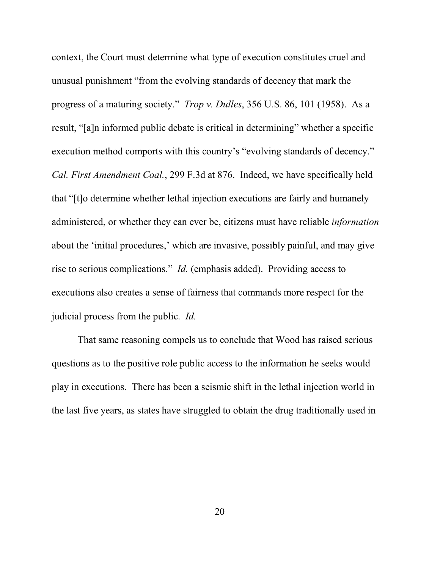context, the Court must determine what type of execution constitutes cruel and unusual punishment "from the evolving standards of decency that mark the progress of a maturing society." *Trop v. Dulles*, 356 U.S. 86, 101 (1958). As a result, "[a]n informed public debate is critical in determining" whether a specific execution method comports with this country's "evolving standards of decency." *Cal. First Amendment Coal.*, 299 F.3d at 876. Indeed, we have specifically held that "[t]o determine whether lethal injection executions are fairly and humanely administered, or whether they can ever be, citizens must have reliable *information* about the 'initial procedures,' which are invasive, possibly painful, and may give rise to serious complications." *Id.* (emphasis added). Providing access to executions also creates a sense of fairness that commands more respect for the judicial process from the public. *Id.* 

That same reasoning compels us to conclude that Wood has raised serious questions as to the positive role public access to the information he seeks would play in executions. There has been a seismic shift in the lethal injection world in the last five years, as states have struggled to obtain the drug traditionally used in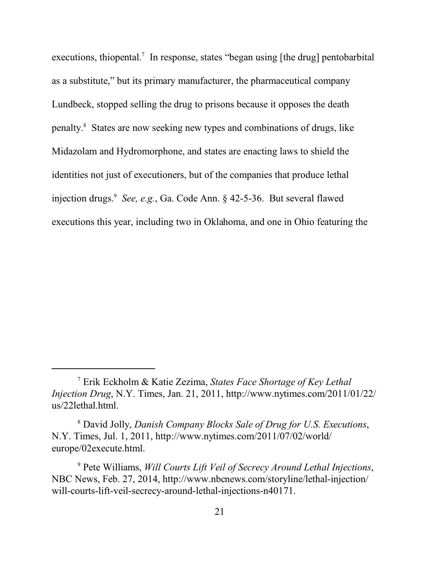executions, thiopental.<sup>7</sup> In response, states "began using [the drug] pentobarbital as a substitute," but its primary manufacturer, the pharmaceutical company Lundbeck, stopped selling the drug to prisons because it opposes the death penalty. 8 States are now seeking new types and combinations of drugs, like Midazolam and Hydromorphone, and states are enacting laws to shield the identities not just of executioners, but of the companies that produce lethal injection drugs.<sup>9</sup> *See, e.g.*, Ga. Code Ann. § 42-5-36. But several flawed executions this year, including two in Oklahoma, and one in Ohio featuring the

8 David Jolly, *Danish Company Blocks Sale of Drug for U.S. Executions*, N.Y. Times, Jul. 1, 2011, http://www.nytimes.com/2011/07/02/world/ europe/02execute.html.

9 Pete Williams, *Will Courts Lift Veil of Secrecy Around Lethal Injections*, NBC News, Feb. 27, 2014, http://www.nbcnews.com/storyline/lethal-injection/ will-courts-lift-veil-secrecy-around-lethal-injections-n40171.

<sup>7</sup> Erik Eckholm & Katie Zezima, *States Face Shortage of Key Lethal Injection Drug*, N.Y. Times, Jan. 21, 2011, http://www.nytimes.com/2011/01/22/ us/22lethal.html.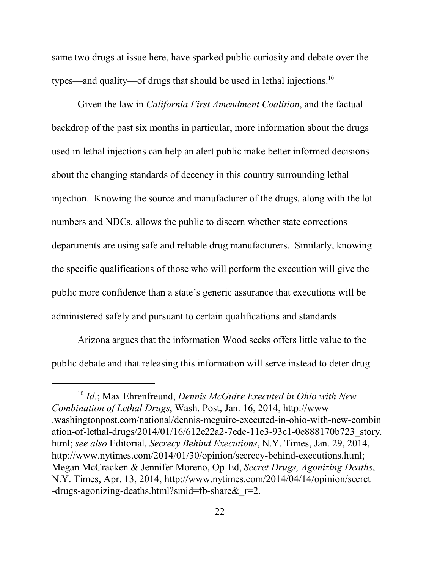same two drugs at issue here, have sparked public curiosity and debate over the types—and quality—of drugs that should be used in lethal injections.<sup>10</sup>

Given the law in *California First Amendment Coalition*, and the factual backdrop of the past six months in particular, more information about the drugs used in lethal injections can help an alert public make better informed decisions about the changing standards of decency in this country surrounding lethal injection. Knowing the source and manufacturer of the drugs, along with the lot numbers and NDCs, allows the public to discern whether state corrections departments are using safe and reliable drug manufacturers. Similarly, knowing the specific qualifications of those who will perform the execution will give the public more confidence than a state's generic assurance that executions will be administered safely and pursuant to certain qualifications and standards.

Arizona argues that the information Wood seeks offers little value to the public debate and that releasing this information will serve instead to deter drug

<sup>10</sup> *Id.*; Max Ehrenfreund, *Dennis McGuire Executed in Ohio with New Combination of Lethal Drugs*, Wash. Post, Jan. 16, 2014, http://www .washingtonpost.com/national/dennis-mcguire-executed-in-ohio-with-new-combin ation-of-lethal-drugs/2014/01/16/612e22a2-7ede-11e3-93c1-0e888170b723\_story. html; *see also* Editorial, *Secrecy Behind Executions*, N.Y. Times, Jan. 29, 2014, http://www.nytimes.com/2014/01/30/opinion/secrecy-behind-executions.html; Megan McCracken & Jennifer Moreno, Op-Ed, *Secret Drugs, Agonizing Deaths*, N.Y. Times, Apr. 13, 2014, http://www.nytimes.com/2014/04/14/opinion/secret -drugs-agonizing-deaths.html?smid=fb-share&\_r=2.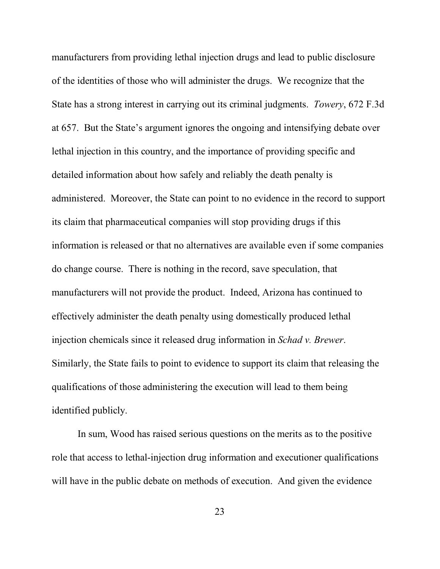manufacturers from providing lethal injection drugs and lead to public disclosure of the identities of those who will administer the drugs. We recognize that the State has a strong interest in carrying out its criminal judgments. *Towery*, 672 F.3d at 657. But the State's argument ignores the ongoing and intensifying debate over lethal injection in this country, and the importance of providing specific and detailed information about how safely and reliably the death penalty is administered. Moreover, the State can point to no evidence in the record to support its claim that pharmaceutical companies will stop providing drugs if this information is released or that no alternatives are available even if some companies do change course. There is nothing in the record, save speculation, that manufacturers will not provide the product. Indeed, Arizona has continued to effectively administer the death penalty using domestically produced lethal injection chemicals since it released drug information in *Schad v. Brewer*. Similarly, the State fails to point to evidence to support its claim that releasing the qualifications of those administering the execution will lead to them being identified publicly.

In sum, Wood has raised serious questions on the merits as to the positive role that access to lethal-injection drug information and executioner qualifications will have in the public debate on methods of execution. And given the evidence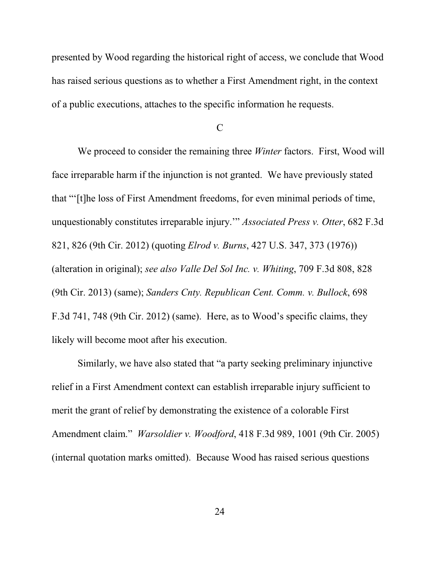presented by Wood regarding the historical right of access, we conclude that Wood has raised serious questions as to whether a First Amendment right, in the context of a public executions, attaches to the specific information he requests.

C

We proceed to consider the remaining three *Winter* factors. First, Wood will face irreparable harm if the injunction is not granted. We have previously stated that "'[t]he loss of First Amendment freedoms, for even minimal periods of time, unquestionably constitutes irreparable injury.'" *Associated Press v. Otter*, 682 F.3d 821, 826 (9th Cir. 2012) (quoting *Elrod v. Burns*, 427 U.S. 347, 373 (1976)) (alteration in original); *see also Valle Del Sol Inc. v. Whiting*, 709 F.3d 808, 828 (9th Cir. 2013) (same); *Sanders Cnty. Republican Cent. Comm. v. Bullock*, 698 F.3d 741, 748 (9th Cir. 2012) (same). Here, as to Wood's specific claims, they likely will become moot after his execution.

Similarly, we have also stated that "a party seeking preliminary injunctive relief in a First Amendment context can establish irreparable injury sufficient to merit the grant of relief by demonstrating the existence of a colorable First Amendment claim." *Warsoldier v. Woodford*, 418 F.3d 989, 1001 (9th Cir. 2005) (internal quotation marks omitted). Because Wood has raised serious questions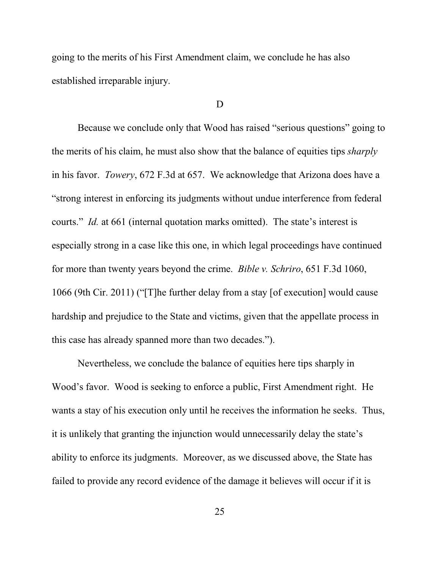going to the merits of his First Amendment claim, we conclude he has also established irreparable injury.

#### D

Because we conclude only that Wood has raised "serious questions" going to the merits of his claim, he must also show that the balance of equities tips *sharply* in his favor. *Towery*, 672 F.3d at 657. We acknowledge that Arizona does have a "strong interest in enforcing its judgments without undue interference from federal courts." *Id.* at 661 (internal quotation marks omitted). The state's interest is especially strong in a case like this one, in which legal proceedings have continued for more than twenty years beyond the crime. *Bible v. Schriro*, 651 F.3d 1060, 1066 (9th Cir. 2011) ("[T]he further delay from a stay [of execution] would cause hardship and prejudice to the State and victims, given that the appellate process in this case has already spanned more than two decades.").

Nevertheless, we conclude the balance of equities here tips sharply in Wood's favor. Wood is seeking to enforce a public, First Amendment right. He wants a stay of his execution only until he receives the information he seeks. Thus, it is unlikely that granting the injunction would unnecessarily delay the state's ability to enforce its judgments. Moreover, as we discussed above, the State has failed to provide any record evidence of the damage it believes will occur if it is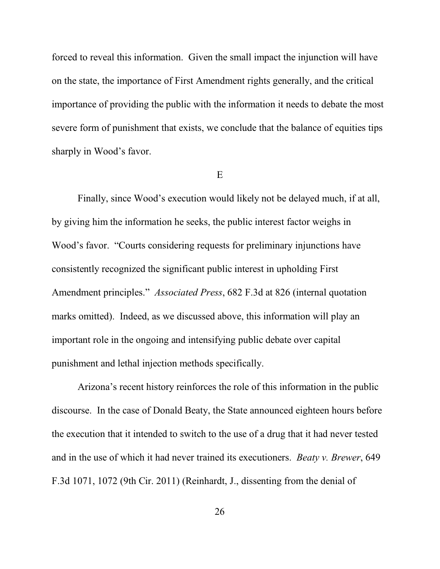forced to reveal this information. Given the small impact the injunction will have on the state, the importance of First Amendment rights generally, and the critical importance of providing the public with the information it needs to debate the most severe form of punishment that exists, we conclude that the balance of equities tips sharply in Wood's favor.

#### E

Finally, since Wood's execution would likely not be delayed much, if at all, by giving him the information he seeks, the public interest factor weighs in Wood's favor. "Courts considering requests for preliminary injunctions have consistently recognized the significant public interest in upholding First Amendment principles." *Associated Press*, 682 F.3d at 826 (internal quotation marks omitted). Indeed, as we discussed above, this information will play an important role in the ongoing and intensifying public debate over capital punishment and lethal injection methods specifically.

Arizona's recent history reinforces the role of this information in the public discourse. In the case of Donald Beaty, the State announced eighteen hours before the execution that it intended to switch to the use of a drug that it had never tested and in the use of which it had never trained its executioners. *Beaty v. Brewer*, 649 F.3d 1071, 1072 (9th Cir. 2011) (Reinhardt, J., dissenting from the denial of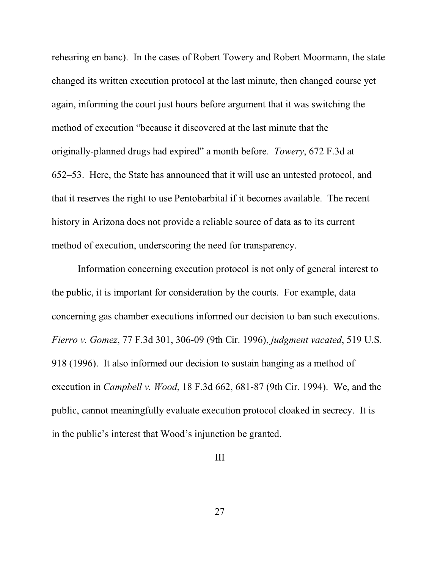rehearing en banc). In the cases of Robert Towery and Robert Moormann, the state changed its written execution protocol at the last minute, then changed course yet again, informing the court just hours before argument that it was switching the method of execution "because it discovered at the last minute that the originally-planned drugs had expired" a month before. *Towery*, 672 F.3d at 652–53. Here, the State has announced that it will use an untested protocol, and that it reserves the right to use Pentobarbital if it becomes available. The recent history in Arizona does not provide a reliable source of data as to its current method of execution, underscoring the need for transparency.

Information concerning execution protocol is not only of general interest to the public, it is important for consideration by the courts. For example, data concerning gas chamber executions informed our decision to ban such executions. *Fierro v. Gomez*, 77 F.3d 301, 306-09 (9th Cir. 1996), *judgment vacated*, 519 U.S. 918 (1996). It also informed our decision to sustain hanging as a method of execution in *Campbell v. Wood*, 18 F.3d 662, 681-87 (9th Cir. 1994). We, and the public, cannot meaningfully evaluate execution protocol cloaked in secrecy. It is in the public's interest that Wood's injunction be granted.

## III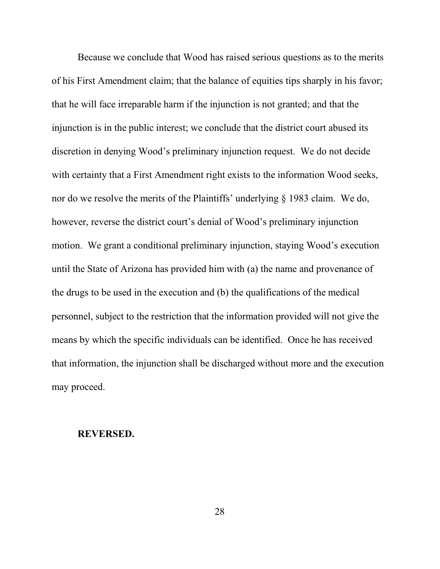Because we conclude that Wood has raised serious questions as to the merits of his First Amendment claim; that the balance of equities tips sharply in his favor; that he will face irreparable harm if the injunction is not granted; and that the injunction is in the public interest; we conclude that the district court abused its discretion in denying Wood's preliminary injunction request. We do not decide with certainty that a First Amendment right exists to the information Wood seeks, nor do we resolve the merits of the Plaintiffs' underlying § 1983 claim. We do, however, reverse the district court's denial of Wood's preliminary injunction motion. We grant a conditional preliminary injunction, staying Wood's execution until the State of Arizona has provided him with (a) the name and provenance of the drugs to be used in the execution and (b) the qualifications of the medical personnel, subject to the restriction that the information provided will not give the means by which the specific individuals can be identified. Once he has received that information, the injunction shall be discharged without more and the execution may proceed.

#### **REVERSED.**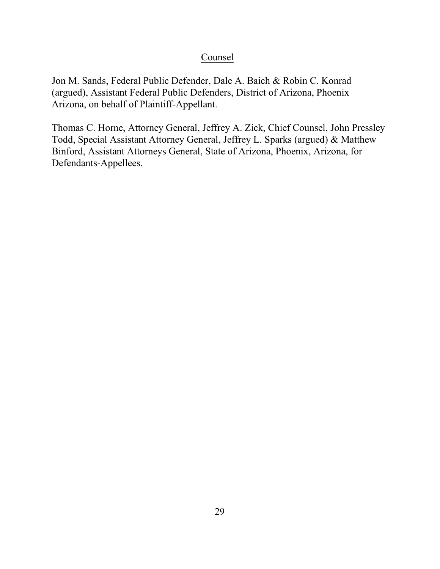# **Counsel**

Jon M. Sands, Federal Public Defender, Dale A. Baich & Robin C. Konrad (argued), Assistant Federal Public Defenders, District of Arizona, Phoenix Arizona, on behalf of Plaintiff-Appellant.

Thomas C. Horne, Attorney General, Jeffrey A. Zick, Chief Counsel, John Pressley Todd, Special Assistant Attorney General, Jeffrey L. Sparks (argued) & Matthew Binford, Assistant Attorneys General, State of Arizona, Phoenix, Arizona, for Defendants-Appellees.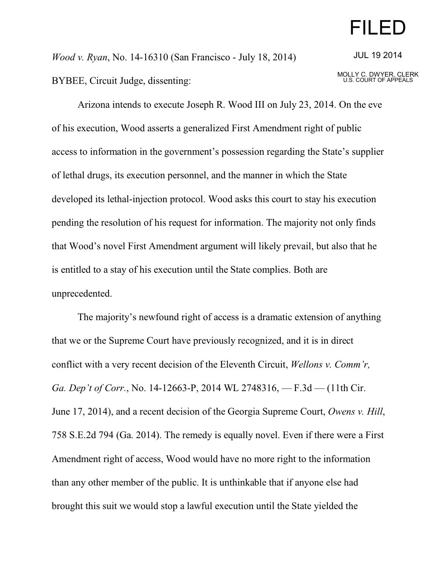# FILED

*Wood v. Ryan*, No. 14-16310 (San Francisco - July 18, 2014) BYBEE, Circuit Judge, dissenting:

JUL 19 2014

MOLLY C. DWYER, CLERK U.S. COURT OF APPEALS

Arizona intends to execute Joseph R. Wood III on July 23, 2014. On the eve of his execution, Wood asserts a generalized First Amendment right of public access to information in the government's possession regarding the State's supplier of lethal drugs, its execution personnel, and the manner in which the State developed its lethal-injection protocol. Wood asks this court to stay his execution pending the resolution of his request for information. The majority not only finds that Wood's novel First Amendment argument will likely prevail, but also that he is entitled to a stay of his execution until the State complies. Both are unprecedented.

The majority's newfound right of access is a dramatic extension of anything that we or the Supreme Court have previously recognized, and it is in direct conflict with a very recent decision of the Eleventh Circuit, *Wellons v. Comm'r, Ga. Dep't of Corr.*, No. 14-12663-P, 2014 WL 2748316, — F.3d — (11th Cir. June 17, 2014), and a recent decision of the Georgia Supreme Court, *Owens v. Hill*, 758 S.E.2d 794 (Ga. 2014). The remedy is equally novel. Even if there were a First Amendment right of access, Wood would have no more right to the information than any other member of the public. It is unthinkable that if anyone else had brought this suit we would stop a lawful execution until the State yielded the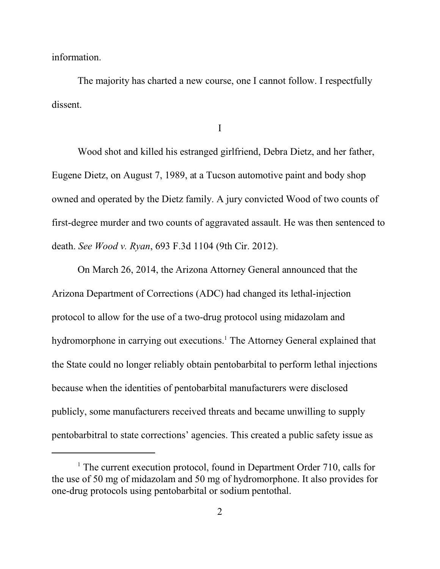information.

The majority has charted a new course, one I cannot follow. I respectfully dissent.

I

Wood shot and killed his estranged girlfriend, Debra Dietz, and her father, Eugene Dietz, on August 7, 1989, at a Tucson automotive paint and body shop owned and operated by the Dietz family. A jury convicted Wood of two counts of first-degree murder and two counts of aggravated assault. He was then sentenced to death. *See Wood v. Ryan*, 693 F.3d 1104 (9th Cir. 2012).

On March 26, 2014, the Arizona Attorney General announced that the Arizona Department of Corrections (ADC) had changed its lethal-injection protocol to allow for the use of a two-drug protocol using midazolam and hydromorphone in carrying out executions.<sup>1</sup> The Attorney General explained that the State could no longer reliably obtain pentobarbital to perform lethal injections because when the identities of pentobarbital manufacturers were disclosed publicly, some manufacturers received threats and became unwilling to supply pentobarbitral to state corrections' agencies. This created a public safety issue as

<sup>&</sup>lt;sup>1</sup> The current execution protocol, found in Department Order 710, calls for the use of 50 mg of midazolam and 50 mg of hydromorphone. It also provides for one-drug protocols using pentobarbital or sodium pentothal.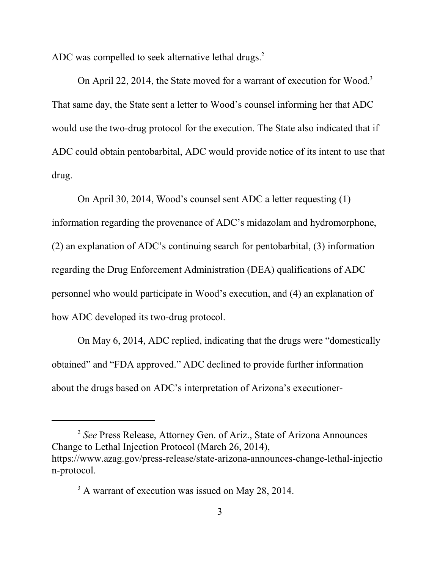ADC was compelled to seek alternative lethal drugs.<sup>2</sup>

On April 22, 2014, the State moved for a warrant of execution for Wood.<sup>3</sup> That same day, the State sent a letter to Wood's counsel informing her that ADC would use the two-drug protocol for the execution. The State also indicated that if ADC could obtain pentobarbital, ADC would provide notice of its intent to use that drug.

On April 30, 2014, Wood's counsel sent ADC a letter requesting (1) information regarding the provenance of ADC's midazolam and hydromorphone, (2) an explanation of ADC's continuing search for pentobarbital, (3) information regarding the Drug Enforcement Administration (DEA) qualifications of ADC personnel who would participate in Wood's execution, and (4) an explanation of how ADC developed its two-drug protocol.

On May 6, 2014, ADC replied, indicating that the drugs were "domestically obtained" and "FDA approved." ADC declined to provide further information about the drugs based on ADC's interpretation of Arizona's executioner-

<sup>&</sup>lt;sup>2</sup> See Press Release, Attorney Gen. of Ariz., State of Arizona Announces Change to Lethal Injection Protocol (March 26, 2014), https://www.azag.gov/press-release/state-arizona-announces-change-lethal-injectio n-protocol.

<sup>&</sup>lt;sup>3</sup> A warrant of execution was issued on May 28, 2014.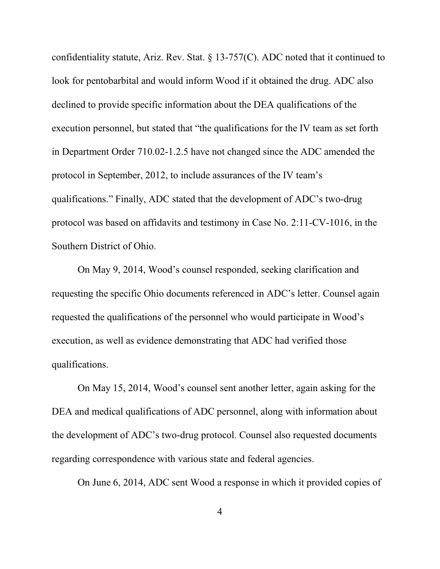confidentiality statute, Ariz. Rev. Stat. § 13-757(C). ADC noted that it continued to look for pentobarbital and would inform Wood if it obtained the drug. ADC also declined to provide specific information about the DEA qualifications of the execution personnel, but stated that "the qualifications for the IV team as set forth in Department Order 710.02-1.2.5 have not changed since the ADC amended the protocol in September, 2012, to include assurances of the IV team's qualifications." Finally, ADC stated that the development of ADC's two-drug protocol was based on affidavits and testimony in Case No. 2:11-CV-1016, in the Southern District of Ohio.

On May 9, 2014, Wood's counsel responded, seeking clarification and requesting the specific Ohio documents referenced in ADC's letter. Counsel again requested the qualifications of the personnel who would participate in Wood's execution, as well as evidence demonstrating that ADC had verified those qualifications.

On May 15, 2014, Wood's counsel sent another letter, again asking for the DEA and medical qualifications of ADC personnel, along with information about the development of ADC's two-drug protocol. Counsel also requested documents regarding correspondence with various state and federal agencies.

On June 6, 2014, ADC sent Wood a response in which it provided copies of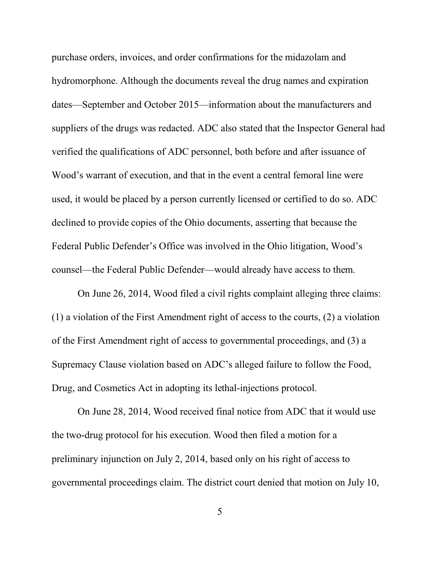purchase orders, invoices, and order confirmations for the midazolam and hydromorphone. Although the documents reveal the drug names and expiration dates—September and October 2015—information about the manufacturers and suppliers of the drugs was redacted. ADC also stated that the Inspector General had verified the qualifications of ADC personnel, both before and after issuance of Wood's warrant of execution, and that in the event a central femoral line were used, it would be placed by a person currently licensed or certified to do so. ADC declined to provide copies of the Ohio documents, asserting that because the Federal Public Defender's Office was involved in the Ohio litigation, Wood's counsel—the Federal Public Defender—would already have access to them.

On June 26, 2014, Wood filed a civil rights complaint alleging three claims: (1) a violation of the First Amendment right of access to the courts, (2) a violation of the First Amendment right of access to governmental proceedings, and (3) a Supremacy Clause violation based on ADC's alleged failure to follow the Food, Drug, and Cosmetics Act in adopting its lethal-injections protocol.

On June 28, 2014, Wood received final notice from ADC that it would use the two-drug protocol for his execution. Wood then filed a motion for a preliminary injunction on July 2, 2014, based only on his right of access to governmental proceedings claim. The district court denied that motion on July 10,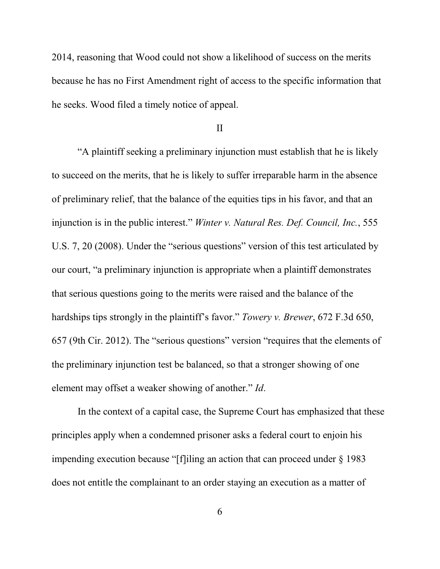2014, reasoning that Wood could not show a likelihood of success on the merits because he has no First Amendment right of access to the specific information that he seeks. Wood filed a timely notice of appeal.

#### II

"A plaintiff seeking a preliminary injunction must establish that he is likely to succeed on the merits, that he is likely to suffer irreparable harm in the absence of preliminary relief, that the balance of the equities tips in his favor, and that an injunction is in the public interest." *Winter v. Natural Res. Def. Council, Inc.*, 555 U.S. 7, 20 (2008). Under the "serious questions" version of this test articulated by our court, "a preliminary injunction is appropriate when a plaintiff demonstrates that serious questions going to the merits were raised and the balance of the hardships tips strongly in the plaintiff's favor." *Towery v. Brewer*, 672 F.3d 650, 657 (9th Cir. 2012). The "serious questions" version "requires that the elements of the preliminary injunction test be balanced, so that a stronger showing of one element may offset a weaker showing of another." *Id*.

In the context of a capital case, the Supreme Court has emphasized that these principles apply when a condemned prisoner asks a federal court to enjoin his impending execution because "[f]iling an action that can proceed under § 1983 does not entitle the complainant to an order staying an execution as a matter of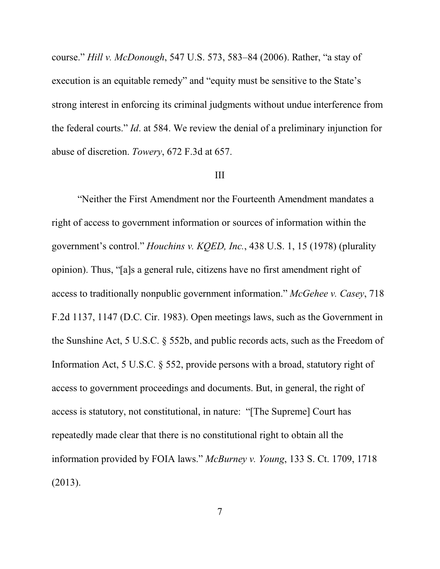course." *Hill v. McDonough*, 547 U.S. 573, 583–84 (2006). Rather, "a stay of execution is an equitable remedy" and "equity must be sensitive to the State's strong interest in enforcing its criminal judgments without undue interference from the federal courts." *Id*. at 584. We review the denial of a preliminary injunction for abuse of discretion. *Towery*, 672 F.3d at 657.

### III

"Neither the First Amendment nor the Fourteenth Amendment mandates a right of access to government information or sources of information within the government's control." *Houchins v. KQED, Inc.*, 438 U.S. 1, 15 (1978) (plurality opinion). Thus, "[a]s a general rule, citizens have no first amendment right of access to traditionally nonpublic government information." *McGehee v. Casey*, 718 F.2d 1137, 1147 (D.C. Cir. 1983). Open meetings laws, such as the Government in the Sunshine Act, 5 U.S.C. § 552b, and public records acts, such as the Freedom of Information Act, 5 U.S.C. § 552, provide persons with a broad, statutory right of access to government proceedings and documents. But, in general, the right of access is statutory, not constitutional, in nature: "[The Supreme] Court has repeatedly made clear that there is no constitutional right to obtain all the information provided by FOIA laws." *McBurney v. Young*, 133 S. Ct. 1709, 1718 (2013).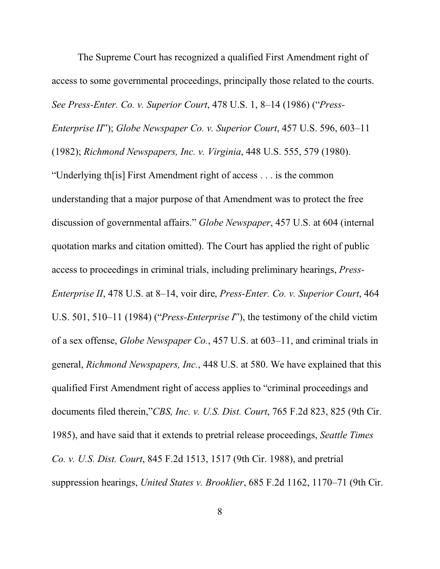The Supreme Court has recognized a qualified First Amendment right of access to some governmental proceedings, principally those related to the courts. *See Press-Enter. Co. v. Superior Court*, 478 U.S. 1, 8–14 (1986) ("*Press-Enterprise II*"); *Globe Newspaper Co. v. Superior Court*, 457 U.S. 596, 603–11 (1982); *Richmond Newspapers, Inc. v. Virginia*, 448 U.S. 555, 579 (1980). "Underlying th[is] First Amendment right of access . . . is the common understanding that a major purpose of that Amendment was to protect the free discussion of governmental affairs." *Globe Newspaper*, 457 U.S. at 604 (internal quotation marks and citation omitted). The Court has applied the right of public access to proceedings in criminal trials, including preliminary hearings, *Press-Enterprise II*, 478 U.S. at 8–14, voir dire, *Press-Enter. Co. v. Superior Court*, 464 U.S. 501, 510–11 (1984) ("*Press-Enterprise I*"), the testimony of the child victim of a sex offense, *Globe Newspaper Co.*, 457 U.S. at 603–11, and criminal trials in general, *Richmond Newspapers, Inc.*, 448 U.S. at 580. We have explained that this qualified First Amendment right of access applies to "criminal proceedings and documents filed therein,"*CBS, Inc. v. U.S. Dist. Court*, 765 F.2d 823, 825 (9th Cir. 1985), and have said that it extends to pretrial release proceedings, *Seattle Times Co. v. U.S. Dist. Court*, 845 F.2d 1513, 1517 (9th Cir. 1988), and pretrial suppression hearings, *United States v. Brooklier*, 685 F.2d 1162, 1170–71 (9th Cir.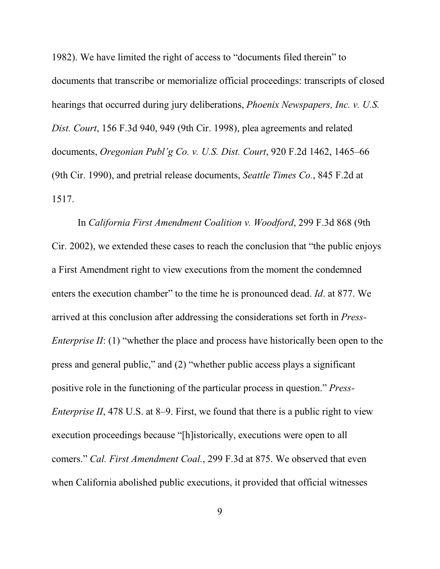1982). We have limited the right of access to "documents filed therein" to documents that transcribe or memorialize official proceedings: transcripts of closed hearings that occurred during jury deliberations, *Phoenix Newspapers, Inc. v. U.S. Dist. Court*, 156 F.3d 940, 949 (9th Cir. 1998), plea agreements and related documents, *Oregonian Publ'g Co. v. U.S. Dist. Court*, 920 F.2d 1462, 1465–66 (9th Cir. 1990), and pretrial release documents, *Seattle Times Co.*, 845 F.2d at 1517.

In *California First Amendment Coalition v. Woodford*, 299 F.3d 868 (9th Cir. 2002), we extended these cases to reach the conclusion that "the public enjoys a First Amendment right to view executions from the moment the condemned enters the execution chamber" to the time he is pronounced dead. *Id*. at 877. We arrived at this conclusion after addressing the considerations set forth in *Press-Enterprise II*: (1) "whether the place and process have historically been open to the press and general public," and (2) "whether public access plays a significant positive role in the functioning of the particular process in question." *Press-Enterprise II*, 478 U.S. at 8–9. First, we found that there is a public right to view execution proceedings because "[h]istorically, executions were open to all comers." *Cal. First Amendment Coal.*, 299 F.3d at 875. We observed that even when California abolished public executions, it provided that official witnesses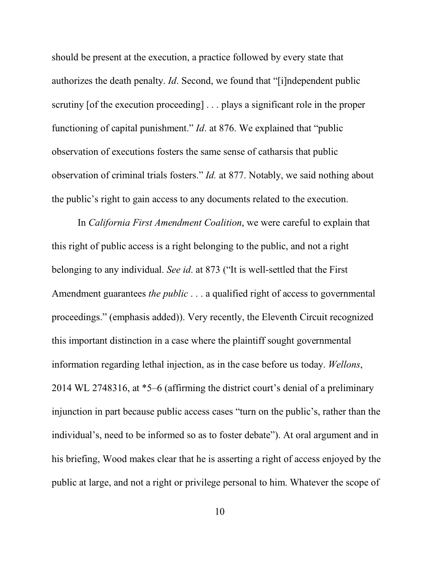should be present at the execution, a practice followed by every state that authorizes the death penalty. *Id*. Second, we found that "[i]ndependent public scrutiny [of the execution proceeding] . . . plays a significant role in the proper functioning of capital punishment." *Id*. at 876. We explained that "public observation of executions fosters the same sense of catharsis that public observation of criminal trials fosters." *Id.* at 877. Notably, we said nothing about the public's right to gain access to any documents related to the execution.

In *California First Amendment Coalition*, we were careful to explain that this right of public access is a right belonging to the public, and not a right belonging to any individual. *See id*. at 873 ("It is well-settled that the First Amendment guarantees *the public* . . . a qualified right of access to governmental proceedings." (emphasis added)). Very recently, the Eleventh Circuit recognized this important distinction in a case where the plaintiff sought governmental information regarding lethal injection, as in the case before us today. *Wellons*, 2014 WL 2748316, at \*5–6 (affirming the district court's denial of a preliminary injunction in part because public access cases "turn on the public's, rather than the individual's, need to be informed so as to foster debate"). At oral argument and in his briefing, Wood makes clear that he is asserting a right of access enjoyed by the public at large, and not a right or privilege personal to him. Whatever the scope of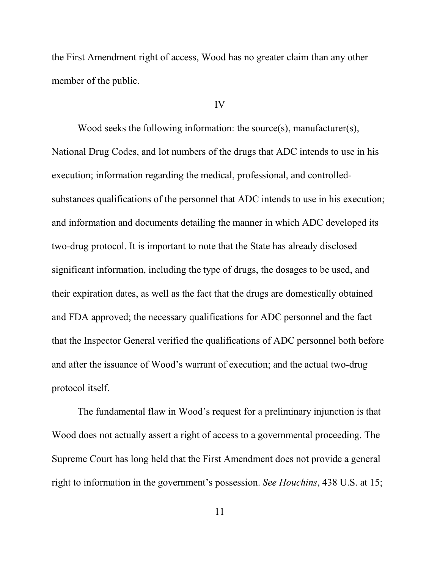the First Amendment right of access, Wood has no greater claim than any other member of the public.

## IV

Wood seeks the following information: the source(s), manufacturer(s), National Drug Codes, and lot numbers of the drugs that ADC intends to use in his execution; information regarding the medical, professional, and controlledsubstances qualifications of the personnel that ADC intends to use in his execution; and information and documents detailing the manner in which ADC developed its two-drug protocol. It is important to note that the State has already disclosed significant information, including the type of drugs, the dosages to be used, and their expiration dates, as well as the fact that the drugs are domestically obtained and FDA approved; the necessary qualifications for ADC personnel and the fact that the Inspector General verified the qualifications of ADC personnel both before and after the issuance of Wood's warrant of execution; and the actual two-drug protocol itself.

The fundamental flaw in Wood's request for a preliminary injunction is that Wood does not actually assert a right of access to a governmental proceeding. The Supreme Court has long held that the First Amendment does not provide a general right to information in the government's possession. *See Houchins*, 438 U.S. at 15;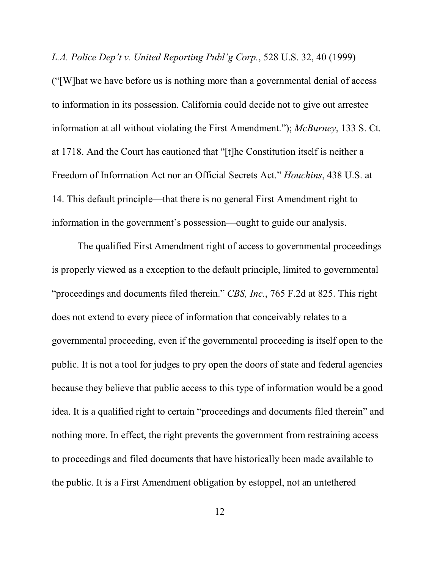*L.A. Police Dep't v. United Reporting Publ'g Corp.*, 528 U.S. 32, 40 (1999)

("[W]hat we have before us is nothing more than a governmental denial of access to information in its possession. California could decide not to give out arrestee information at all without violating the First Amendment."); *McBurney*, 133 S. Ct. at 1718. And the Court has cautioned that "[t]he Constitution itself is neither a Freedom of Information Act nor an Official Secrets Act." *Houchins*, 438 U.S. at 14. This default principle—that there is no general First Amendment right to information in the government's possession—ought to guide our analysis.

The qualified First Amendment right of access to governmental proceedings is properly viewed as a exception to the default principle, limited to governmental "proceedings and documents filed therein." *CBS, Inc.*, 765 F.2d at 825. This right does not extend to every piece of information that conceivably relates to a governmental proceeding, even if the governmental proceeding is itself open to the public. It is not a tool for judges to pry open the doors of state and federal agencies because they believe that public access to this type of information would be a good idea. It is a qualified right to certain "proceedings and documents filed therein" and nothing more. In effect, the right prevents the government from restraining access to proceedings and filed documents that have historically been made available to the public. It is a First Amendment obligation by estoppel, not an untethered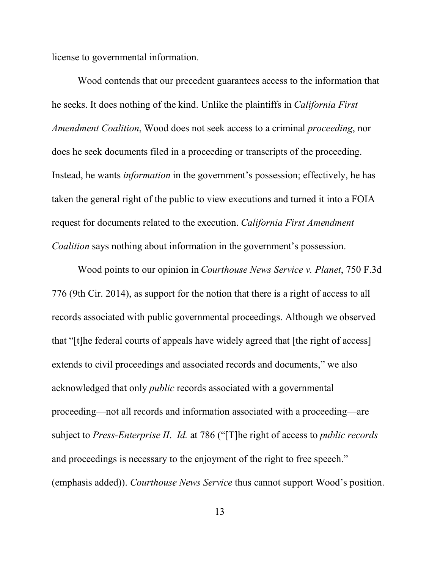license to governmental information.

Wood contends that our precedent guarantees access to the information that he seeks. It does nothing of the kind. Unlike the plaintiffs in *California First Amendment Coalition*, Wood does not seek access to a criminal *proceeding*, nor does he seek documents filed in a proceeding or transcripts of the proceeding. Instead, he wants *information* in the government's possession; effectively, he has taken the general right of the public to view executions and turned it into a FOIA request for documents related to the execution. *California First Amendment Coalition* says nothing about information in the government's possession.

Wood points to our opinion in *Courthouse News Service v. Planet*, 750 F.3d 776 (9th Cir. 2014), as support for the notion that there is a right of access to all records associated with public governmental proceedings. Although we observed that "[t]he federal courts of appeals have widely agreed that [the right of access] extends to civil proceedings and associated records and documents," we also acknowledged that only *public* records associated with a governmental proceeding—not all records and information associated with a proceeding—are subject to *Press-Enterprise II*. *Id.* at 786 ("[T]he right of access to *public records* and proceedings is necessary to the enjoyment of the right to free speech." (emphasis added)). *Courthouse News Service* thus cannot support Wood's position.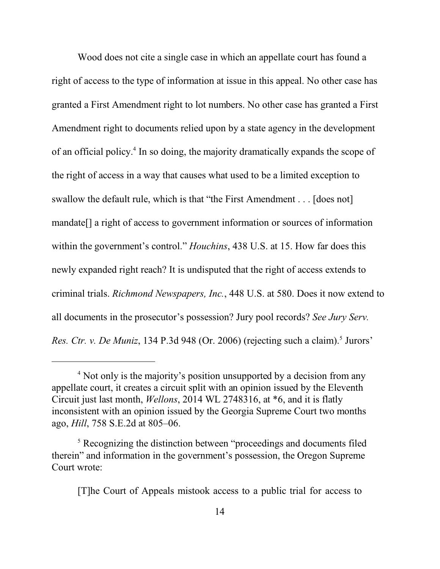Wood does not cite a single case in which an appellate court has found a right of access to the type of information at issue in this appeal. No other case has granted a First Amendment right to lot numbers. No other case has granted a First Amendment right to documents relied upon by a state agency in the development of an official policy. 4 In so doing, the majority dramatically expands the scope of the right of access in a way that causes what used to be a limited exception to swallow the default rule, which is that "the First Amendment . . . [does not] mandate[] a right of access to government information or sources of information within the government's control." *Houchins*, 438 U.S. at 15. How far does this newly expanded right reach? It is undisputed that the right of access extends to criminal trials. *Richmond Newspapers, Inc.*, 448 U.S. at 580. Does it now extend to all documents in the prosecutor's possession? Jury pool records? *See Jury Serv.* Res. Ctr. v. De Muniz, 134 P.3d 948 (Or. 2006) (rejecting such a claim).<sup>5</sup> Jurors'

[T]he Court of Appeals mistook access to a public trial for access to

<sup>&</sup>lt;sup>4</sup> Not only is the majority's position unsupported by a decision from any appellate court, it creates a circuit split with an opinion issued by the Eleventh Circuit just last month, *Wellons*, 2014 WL 2748316, at \*6, and it is flatly inconsistent with an opinion issued by the Georgia Supreme Court two months ago, *Hill*, 758 S.E.2d at 805–06.

<sup>&</sup>lt;sup>5</sup> Recognizing the distinction between "proceedings and documents filed therein" and information in the government's possession, the Oregon Supreme Court wrote: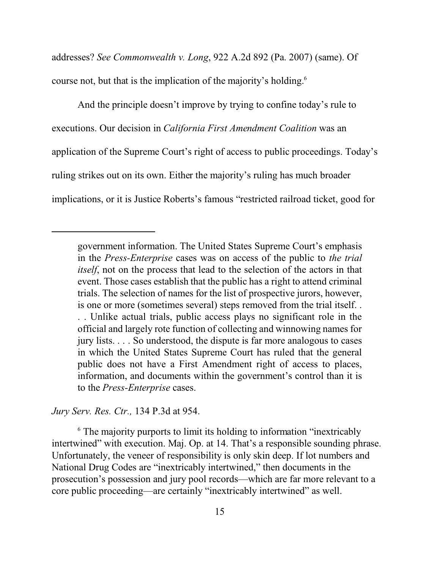addresses? *See Commonwealth v. Long*, 922 A.2d 892 (Pa. 2007) (same). Of course not, but that is the implication of the majority's holding.<sup>6</sup>

And the principle doesn't improve by trying to confine today's rule to executions. Our decision in *California First Amendment Coalition* was an application of the Supreme Court's right of access to public proceedings. Today's ruling strikes out on its own. Either the majority's ruling has much broader implications, or it is Justice Roberts's famous "restricted railroad ticket, good for

*Jury Serv. Res. Ctr.,* 134 P.3d at 954.

<sup>6</sup> The majority purports to limit its holding to information "inextricably intertwined" with execution. Maj. Op. at 14. That's a responsible sounding phrase. Unfortunately, the veneer of responsibility is only skin deep. If lot numbers and National Drug Codes are "inextricably intertwined," then documents in the prosecution's possession and jury pool records—which are far more relevant to a core public proceeding—are certainly "inextricably intertwined" as well.

government information. The United States Supreme Court's emphasis in the *Press-Enterprise* cases was on access of the public to *the trial itself*, not on the process that lead to the selection of the actors in that event. Those cases establish that the public has a right to attend criminal trials. The selection of names for the list of prospective jurors, however, is one or more (sometimes several) steps removed from the trial itself. . . . Unlike actual trials, public access plays no significant role in the official and largely rote function of collecting and winnowing names for jury lists. . . . So understood, the dispute is far more analogous to cases in which the United States Supreme Court has ruled that the general public does not have a First Amendment right of access to places, information, and documents within the government's control than it is to the *Press-Enterprise* cases.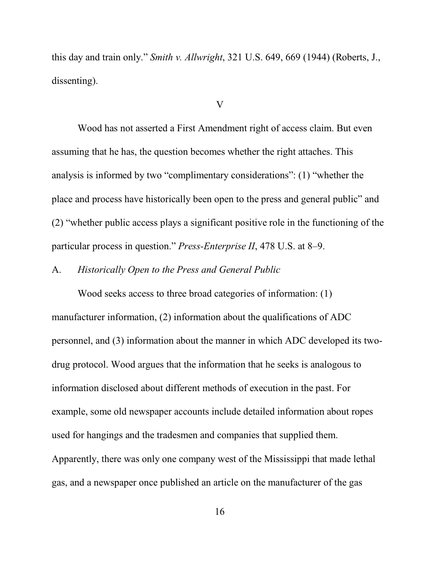this day and train only." *Smith v. Allwright*, 321 U.S. 649, 669 (1944) (Roberts, J., dissenting).

## V

Wood has not asserted a First Amendment right of access claim. But even assuming that he has, the question becomes whether the right attaches. This analysis is informed by two "complimentary considerations": (1) "whether the place and process have historically been open to the press and general public" and (2) "whether public access plays a significant positive role in the functioning of the particular process in question." *Press-Enterprise II*, 478 U.S. at 8–9.

## A. *Historically Open to the Press and General Public*

Wood seeks access to three broad categories of information: (1) manufacturer information, (2) information about the qualifications of ADC personnel, and (3) information about the manner in which ADC developed its twodrug protocol. Wood argues that the information that he seeks is analogous to information disclosed about different methods of execution in the past. For example, some old newspaper accounts include detailed information about ropes used for hangings and the tradesmen and companies that supplied them. Apparently, there was only one company west of the Mississippi that made lethal gas, and a newspaper once published an article on the manufacturer of the gas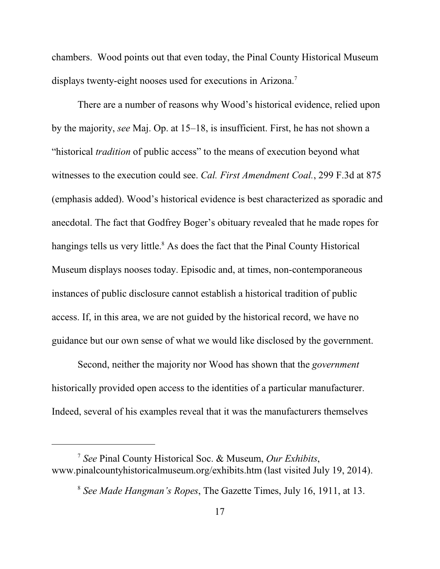chambers. Wood points out that even today, the Pinal County Historical Museum displays twenty-eight nooses used for executions in Arizona. 7

There are a number of reasons why Wood's historical evidence, relied upon by the majority, *see* Maj. Op. at 15–18, is insufficient. First, he has not shown a "historical *tradition* of public access" to the means of execution beyond what witnesses to the execution could see. *Cal. First Amendment Coal.*, 299 F.3d at 875 (emphasis added). Wood's historical evidence is best characterized as sporadic and anecdotal. The fact that Godfrey Boger's obituary revealed that he made ropes for hangings tells us very little.<sup>8</sup> As does the fact that the Pinal County Historical Museum displays nooses today. Episodic and, at times, non-contemporaneous instances of public disclosure cannot establish a historical tradition of public access. If, in this area, we are not guided by the historical record, we have no guidance but our own sense of what we would like disclosed by the government.

Second, neither the majority nor Wood has shown that the *government* historically provided open access to the identities of a particular manufacturer. Indeed, several of his examples reveal that it was the manufacturers themselves

<sup>7</sup> *See* Pinal County Historical Soc. & Museum, *Our Exhibits*, www.pinalcountyhistoricalmuseum.org/exhibits.htm (last visited July 19, 2014).

<sup>8</sup> *See Made Hangman's Ropes*, The Gazette Times, July 16, 1911, at 13.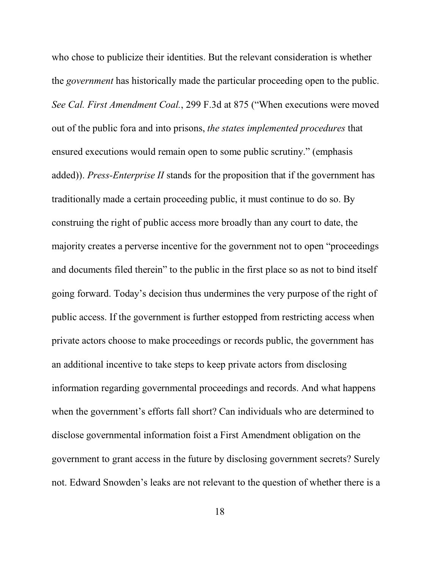who chose to publicize their identities. But the relevant consideration is whether the *government* has historically made the particular proceeding open to the public. *See Cal. First Amendment Coal.*, 299 F.3d at 875 ("When executions were moved out of the public fora and into prisons, *the states implemented procedures* that ensured executions would remain open to some public scrutiny." (emphasis added)). *Press-Enterprise II* stands for the proposition that if the government has traditionally made a certain proceeding public, it must continue to do so. By construing the right of public access more broadly than any court to date, the majority creates a perverse incentive for the government not to open "proceedings and documents filed therein" to the public in the first place so as not to bind itself going forward. Today's decision thus undermines the very purpose of the right of public access. If the government is further estopped from restricting access when private actors choose to make proceedings or records public, the government has an additional incentive to take steps to keep private actors from disclosing information regarding governmental proceedings and records. And what happens when the government's efforts fall short? Can individuals who are determined to disclose governmental information foist a First Amendment obligation on the government to grant access in the future by disclosing government secrets? Surely not. Edward Snowden's leaks are not relevant to the question of whether there is a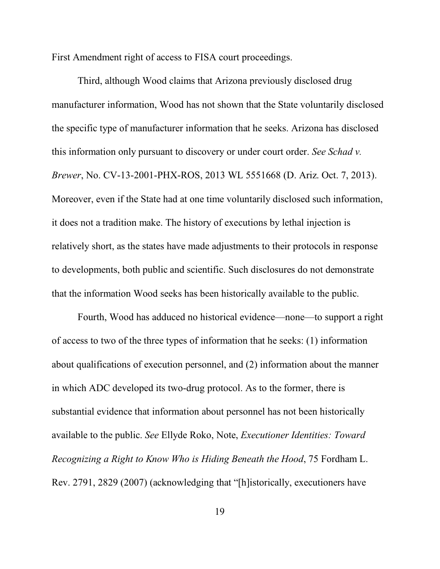First Amendment right of access to FISA court proceedings.

Third, although Wood claims that Arizona previously disclosed drug manufacturer information, Wood has not shown that the State voluntarily disclosed the specific type of manufacturer information that he seeks. Arizona has disclosed this information only pursuant to discovery or under court order. *See Schad v. Brewer*, No. CV-13-2001-PHX-ROS, 2013 WL 5551668 (D. Ariz. Oct. 7, 2013). Moreover, even if the State had at one time voluntarily disclosed such information, it does not a tradition make. The history of executions by lethal injection is relatively short, as the states have made adjustments to their protocols in response to developments, both public and scientific. Such disclosures do not demonstrate that the information Wood seeks has been historically available to the public.

Fourth, Wood has adduced no historical evidence—none—to support a right of access to two of the three types of information that he seeks: (1) information about qualifications of execution personnel, and (2) information about the manner in which ADC developed its two-drug protocol. As to the former, there is substantial evidence that information about personnel has not been historically available to the public. *See* Ellyde Roko, Note, *Executioner Identities: Toward Recognizing a Right to Know Who is Hiding Beneath the Hood*, 75 Fordham L. Rev. 2791, 2829 (2007) (acknowledging that "[h]istorically, executioners have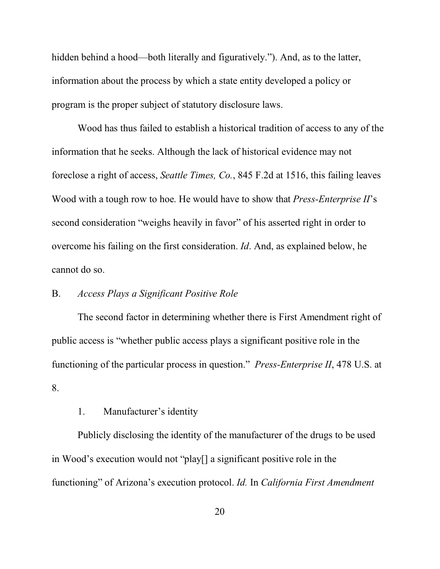hidden behind a hood—both literally and figuratively."). And, as to the latter, information about the process by which a state entity developed a policy or program is the proper subject of statutory disclosure laws.

Wood has thus failed to establish a historical tradition of access to any of the information that he seeks. Although the lack of historical evidence may not foreclose a right of access, *Seattle Times, Co.*, 845 F.2d at 1516, this failing leaves Wood with a tough row to hoe. He would have to show that *Press-Enterprise II*'s second consideration "weighs heavily in favor" of his asserted right in order to overcome his failing on the first consideration. *Id*. And, as explained below, he cannot do so.

# B. *Access Plays a Significant Positive Role*

The second factor in determining whether there is First Amendment right of public access is "whether public access plays a significant positive role in the functioning of the particular process in question." *Press-Enterprise II*, 478 U.S. at 8.

1. Manufacturer's identity

Publicly disclosing the identity of the manufacturer of the drugs to be used in Wood's execution would not "play[] a significant positive role in the functioning" of Arizona's execution protocol. *Id.* In *California First Amendment*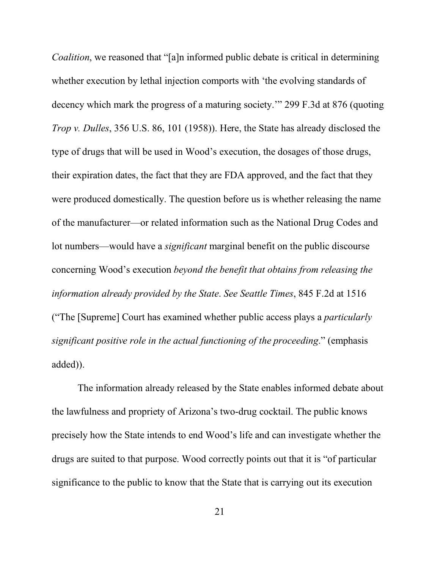*Coalition*, we reasoned that "[a]n informed public debate is critical in determining whether execution by lethal injection comports with 'the evolving standards of decency which mark the progress of a maturing society.'" 299 F.3d at 876 (quoting *Trop v. Dulles*, 356 U.S. 86, 101 (1958)). Here, the State has already disclosed the type of drugs that will be used in Wood's execution, the dosages of those drugs, their expiration dates, the fact that they are FDA approved, and the fact that they were produced domestically. The question before us is whether releasing the name of the manufacturer—or related information such as the National Drug Codes and lot numbers—would have a *significant* marginal benefit on the public discourse concerning Wood's execution *beyond the benefit that obtains from releasing the information already provided by the State*. *See Seattle Times*, 845 F.2d at 1516 ("The [Supreme] Court has examined whether public access plays a *particularly significant positive role in the actual functioning of the proceeding*." (emphasis added)).

The information already released by the State enables informed debate about the lawfulness and propriety of Arizona's two-drug cocktail. The public knows precisely how the State intends to end Wood's life and can investigate whether the drugs are suited to that purpose. Wood correctly points out that it is "of particular significance to the public to know that the State that is carrying out its execution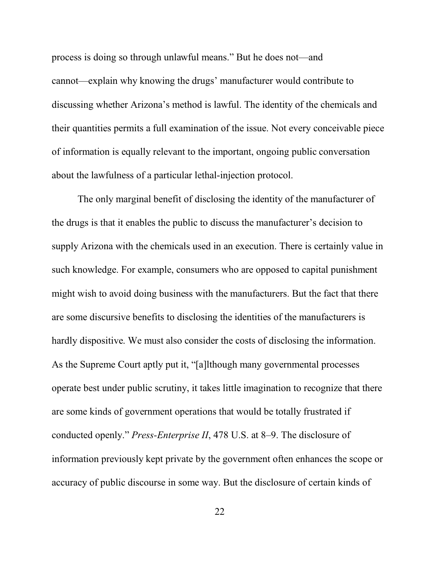process is doing so through unlawful means." But he does not—and cannot—explain why knowing the drugs' manufacturer would contribute to discussing whether Arizona's method is lawful. The identity of the chemicals and their quantities permits a full examination of the issue. Not every conceivable piece of information is equally relevant to the important, ongoing public conversation about the lawfulness of a particular lethal-injection protocol.

The only marginal benefit of disclosing the identity of the manufacturer of the drugs is that it enables the public to discuss the manufacturer's decision to supply Arizona with the chemicals used in an execution. There is certainly value in such knowledge. For example, consumers who are opposed to capital punishment might wish to avoid doing business with the manufacturers. But the fact that there are some discursive benefits to disclosing the identities of the manufacturers is hardly dispositive. We must also consider the costs of disclosing the information. As the Supreme Court aptly put it, "[a]lthough many governmental processes operate best under public scrutiny, it takes little imagination to recognize that there are some kinds of government operations that would be totally frustrated if conducted openly." *Press-Enterprise II*, 478 U.S. at 8–9. The disclosure of information previously kept private by the government often enhances the scope or accuracy of public discourse in some way. But the disclosure of certain kinds of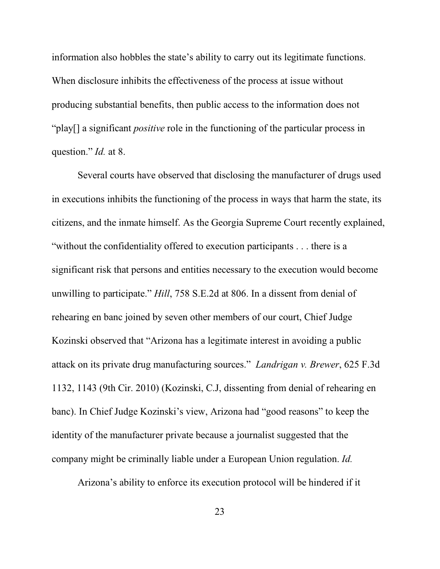information also hobbles the state's ability to carry out its legitimate functions. When disclosure inhibits the effectiveness of the process at issue without producing substantial benefits, then public access to the information does not "play[] a significant *positive* role in the functioning of the particular process in question." *Id.* at 8.

Several courts have observed that disclosing the manufacturer of drugs used in executions inhibits the functioning of the process in ways that harm the state, its citizens, and the inmate himself. As the Georgia Supreme Court recently explained, "without the confidentiality offered to execution participants . . . there is a significant risk that persons and entities necessary to the execution would become unwilling to participate." *Hill*, 758 S.E.2d at 806. In a dissent from denial of rehearing en banc joined by seven other members of our court, Chief Judge Kozinski observed that "Arizona has a legitimate interest in avoiding a public attack on its private drug manufacturing sources." *Landrigan v. Brewer*, 625 F.3d 1132, 1143 (9th Cir. 2010) (Kozinski, C.J, dissenting from denial of rehearing en banc). In Chief Judge Kozinski's view, Arizona had "good reasons" to keep the identity of the manufacturer private because a journalist suggested that the company might be criminally liable under a European Union regulation. *Id.* 

Arizona's ability to enforce its execution protocol will be hindered if it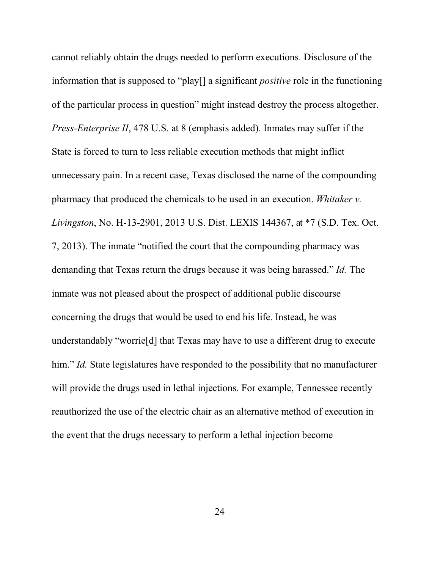cannot reliably obtain the drugs needed to perform executions. Disclosure of the information that is supposed to "play[] a significant *positive* role in the functioning of the particular process in question" might instead destroy the process altogether. *Press-Enterprise II*, 478 U.S. at 8 (emphasis added). Inmates may suffer if the State is forced to turn to less reliable execution methods that might inflict unnecessary pain. In a recent case, Texas disclosed the name of the compounding pharmacy that produced the chemicals to be used in an execution. *Whitaker v. Livingston*, No. H-13-2901, 2013 U.S. Dist. LEXIS 144367, at \*7 (S.D. Tex. Oct. 7, 2013). The inmate "notified the court that the compounding pharmacy was demanding that Texas return the drugs because it was being harassed." *Id.* The inmate was not pleased about the prospect of additional public discourse concerning the drugs that would be used to end his life. Instead, he was understandably "worrie[d] that Texas may have to use a different drug to execute him." *Id.* State legislatures have responded to the possibility that no manufacturer will provide the drugs used in lethal injections. For example, Tennessee recently reauthorized the use of the electric chair as an alternative method of execution in the event that the drugs necessary to perform a lethal injection become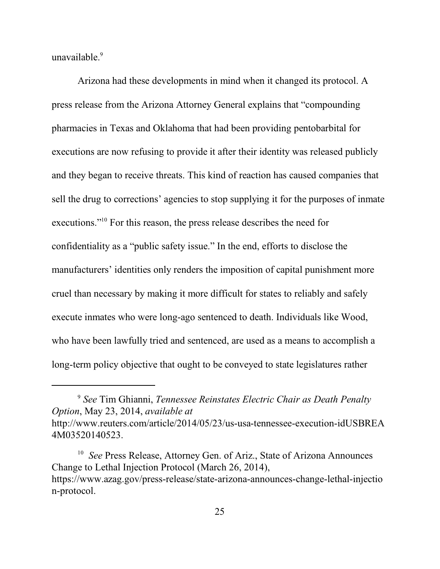unavailable. 9

Arizona had these developments in mind when it changed its protocol. A press release from the Arizona Attorney General explains that "compounding pharmacies in Texas and Oklahoma that had been providing pentobarbital for executions are now refusing to provide it after their identity was released publicly and they began to receive threats. This kind of reaction has caused companies that sell the drug to corrections' agencies to stop supplying it for the purposes of inmate executions."<sup>10</sup> For this reason, the press release describes the need for confidentiality as a "public safety issue." In the end, efforts to disclose the manufacturers' identities only renders the imposition of capital punishment more cruel than necessary by making it more difficult for states to reliably and safely execute inmates who were long-ago sentenced to death. Individuals like Wood, who have been lawfully tried and sentenced, are used as a means to accomplish a long-term policy objective that ought to be conveyed to state legislatures rather

<sup>10</sup> See Press Release, Attorney Gen. of Ariz., State of Arizona Announces Change to Lethal Injection Protocol (March 26, 2014), https://www.azag.gov/press-release/state-arizona-announces-change-lethal-injectio n-protocol.

<sup>9</sup> *See* Tim Ghianni, *Tennessee Reinstates Electric Chair as Death Penalty Option*, May 23, 2014, *available at* http://www.reuters.com/article/2014/05/23/us-usa-tennessee-execution-idUSBREA 4M03520140523.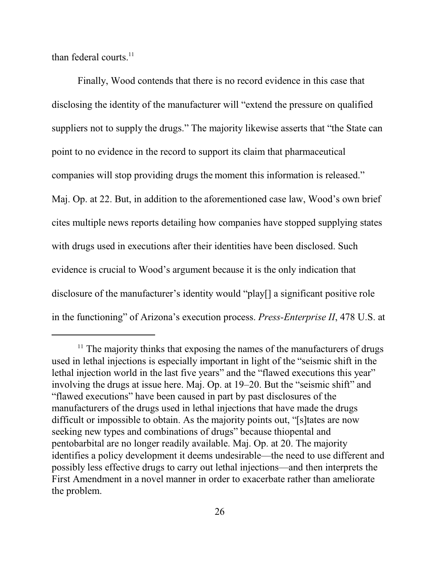than federal courts. $^{11}$ 

Finally, Wood contends that there is no record evidence in this case that disclosing the identity of the manufacturer will "extend the pressure on qualified suppliers not to supply the drugs." The majority likewise asserts that "the State can point to no evidence in the record to support its claim that pharmaceutical companies will stop providing drugs the moment this information is released." Maj. Op. at 22. But, in addition to the aforementioned case law, Wood's own brief cites multiple news reports detailing how companies have stopped supplying states with drugs used in executions after their identities have been disclosed. Such evidence is crucial to Wood's argument because it is the only indication that disclosure of the manufacturer's identity would "play[] a significant positive role in the functioning" of Arizona's execution process. *Press-Enterprise II*, 478 U.S. at

<sup>&</sup>lt;sup>11</sup> The majority thinks that exposing the names of the manufacturers of drugs used in lethal injections is especially important in light of the "seismic shift in the lethal injection world in the last five years" and the "flawed executions this year" involving the drugs at issue here. Maj. Op. at 19–20. But the "seismic shift" and "flawed executions" have been caused in part by past disclosures of the manufacturers of the drugs used in lethal injections that have made the drugs difficult or impossible to obtain. As the majority points out, "[s]tates are now seeking new types and combinations of drugs" because thiopental and pentobarbital are no longer readily available. Maj. Op. at 20. The majority identifies a policy development it deems undesirable—the need to use different and possibly less effective drugs to carry out lethal injections—and then interprets the First Amendment in a novel manner in order to exacerbate rather than ameliorate the problem.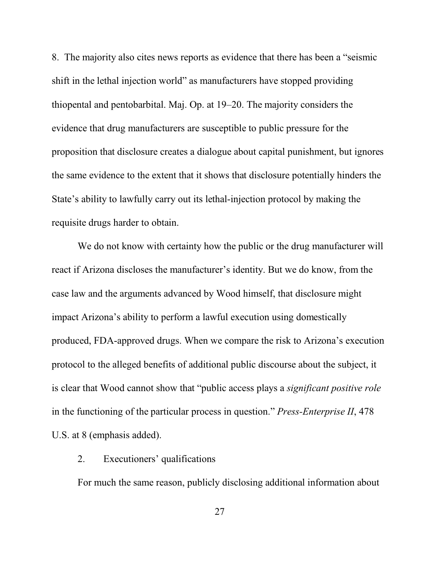8. The majority also cites news reports as evidence that there has been a "seismic shift in the lethal injection world" as manufacturers have stopped providing thiopental and pentobarbital. Maj. Op. at 19–20. The majority considers the evidence that drug manufacturers are susceptible to public pressure for the proposition that disclosure creates a dialogue about capital punishment, but ignores the same evidence to the extent that it shows that disclosure potentially hinders the State's ability to lawfully carry out its lethal-injection protocol by making the requisite drugs harder to obtain.

We do not know with certainty how the public or the drug manufacturer will react if Arizona discloses the manufacturer's identity. But we do know, from the case law and the arguments advanced by Wood himself, that disclosure might impact Arizona's ability to perform a lawful execution using domestically produced, FDA-approved drugs. When we compare the risk to Arizona's execution protocol to the alleged benefits of additional public discourse about the subject, it is clear that Wood cannot show that "public access plays a *significant positive role* in the functioning of the particular process in question." *Press-Enterprise II*, 478 U.S. at 8 (emphasis added).

# 2. Executioners' qualifications

For much the same reason, publicly disclosing additional information about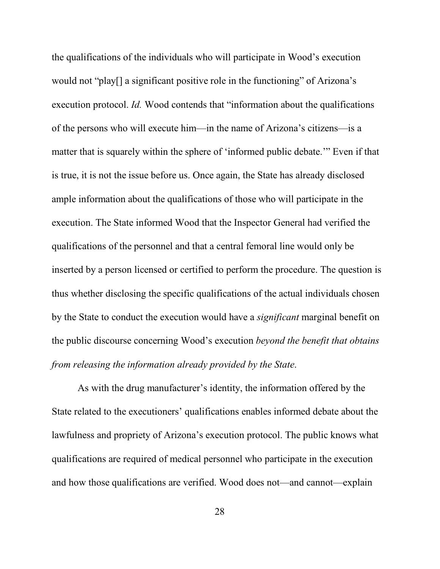the qualifications of the individuals who will participate in Wood's execution would not "play[] a significant positive role in the functioning" of Arizona's execution protocol. *Id.* Wood contends that "information about the qualifications of the persons who will execute him—in the name of Arizona's citizens—is a matter that is squarely within the sphere of 'informed public debate.'" Even if that is true, it is not the issue before us. Once again, the State has already disclosed ample information about the qualifications of those who will participate in the execution. The State informed Wood that the Inspector General had verified the qualifications of the personnel and that a central femoral line would only be inserted by a person licensed or certified to perform the procedure. The question is thus whether disclosing the specific qualifications of the actual individuals chosen by the State to conduct the execution would have a *significant* marginal benefit on the public discourse concerning Wood's execution *beyond the benefit that obtains from releasing the information already provided by the State*.

As with the drug manufacturer's identity, the information offered by the State related to the executioners' qualifications enables informed debate about the lawfulness and propriety of Arizona's execution protocol. The public knows what qualifications are required of medical personnel who participate in the execution and how those qualifications are verified. Wood does not—and cannot—explain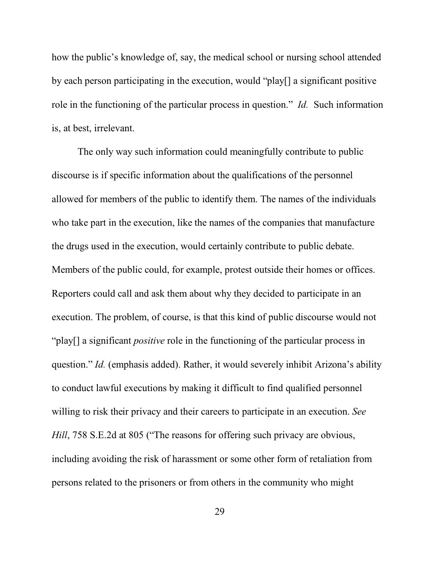how the public's knowledge of, say, the medical school or nursing school attended by each person participating in the execution, would "play[] a significant positive role in the functioning of the particular process in question." *Id.* Such information is, at best, irrelevant.

The only way such information could meaningfully contribute to public discourse is if specific information about the qualifications of the personnel allowed for members of the public to identify them. The names of the individuals who take part in the execution, like the names of the companies that manufacture the drugs used in the execution, would certainly contribute to public debate. Members of the public could, for example, protest outside their homes or offices. Reporters could call and ask them about why they decided to participate in an execution. The problem, of course, is that this kind of public discourse would not "play[] a significant *positive* role in the functioning of the particular process in question." *Id.* (emphasis added). Rather, it would severely inhibit Arizona's ability to conduct lawful executions by making it difficult to find qualified personnel willing to risk their privacy and their careers to participate in an execution. *See Hill*, 758 S.E.2d at 805 ("The reasons for offering such privacy are obvious, including avoiding the risk of harassment or some other form of retaliation from persons related to the prisoners or from others in the community who might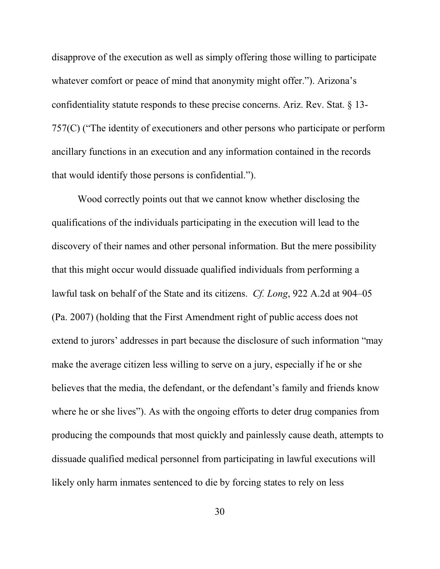disapprove of the execution as well as simply offering those willing to participate whatever comfort or peace of mind that anonymity might offer."). Arizona's confidentiality statute responds to these precise concerns. Ariz. Rev. Stat. § 13- 757(C) ("The identity of executioners and other persons who participate or perform ancillary functions in an execution and any information contained in the records that would identify those persons is confidential.").

Wood correctly points out that we cannot know whether disclosing the qualifications of the individuals participating in the execution will lead to the discovery of their names and other personal information. But the mere possibility that this might occur would dissuade qualified individuals from performing a lawful task on behalf of the State and its citizens. *Cf. Long*, 922 A.2d at 904–05 (Pa. 2007) (holding that the First Amendment right of public access does not extend to jurors' addresses in part because the disclosure of such information "may make the average citizen less willing to serve on a jury, especially if he or she believes that the media, the defendant, or the defendant's family and friends know where he or she lives"). As with the ongoing efforts to deter drug companies from producing the compounds that most quickly and painlessly cause death, attempts to dissuade qualified medical personnel from participating in lawful executions will likely only harm inmates sentenced to die by forcing states to rely on less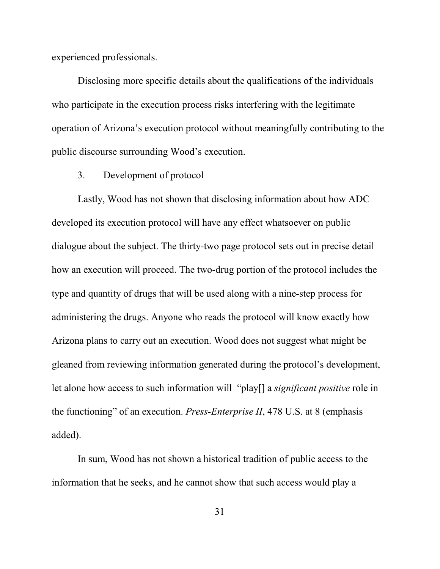experienced professionals.

Disclosing more specific details about the qualifications of the individuals who participate in the execution process risks interfering with the legitimate operation of Arizona's execution protocol without meaningfully contributing to the public discourse surrounding Wood's execution.

3. Development of protocol

Lastly, Wood has not shown that disclosing information about how ADC developed its execution protocol will have any effect whatsoever on public dialogue about the subject. The thirty-two page protocol sets out in precise detail how an execution will proceed. The two-drug portion of the protocol includes the type and quantity of drugs that will be used along with a nine-step process for administering the drugs. Anyone who reads the protocol will know exactly how Arizona plans to carry out an execution. Wood does not suggest what might be gleaned from reviewing information generated during the protocol's development, let alone how access to such information will "play[] a *significant positive* role in the functioning" of an execution. *Press-Enterprise II*, 478 U.S. at 8 (emphasis added).

In sum, Wood has not shown a historical tradition of public access to the information that he seeks, and he cannot show that such access would play a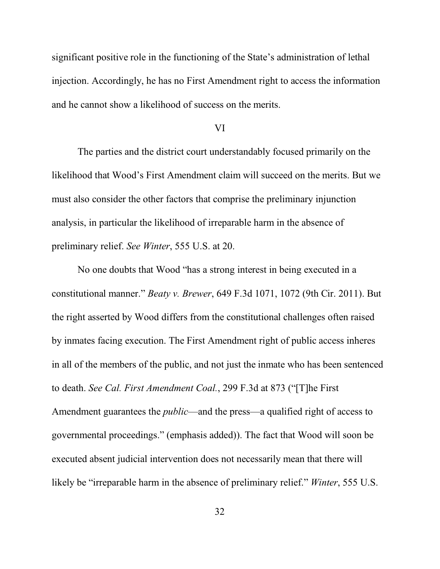significant positive role in the functioning of the State's administration of lethal injection. Accordingly, he has no First Amendment right to access the information and he cannot show a likelihood of success on the merits.

#### VI

The parties and the district court understandably focused primarily on the likelihood that Wood's First Amendment claim will succeed on the merits. But we must also consider the other factors that comprise the preliminary injunction analysis, in particular the likelihood of irreparable harm in the absence of preliminary relief. *See Winter*, 555 U.S. at 20.

No one doubts that Wood "has a strong interest in being executed in a constitutional manner." *Beaty v. Brewer*, 649 F.3d 1071, 1072 (9th Cir. 2011). But the right asserted by Wood differs from the constitutional challenges often raised by inmates facing execution. The First Amendment right of public access inheres in all of the members of the public, and not just the inmate who has been sentenced to death. *See Cal. First Amendment Coal.*, 299 F.3d at 873 ("[T]he First Amendment guarantees the *public*—and the press—a qualified right of access to governmental proceedings." (emphasis added)). The fact that Wood will soon be executed absent judicial intervention does not necessarily mean that there will likely be "irreparable harm in the absence of preliminary relief." *Winter*, 555 U.S.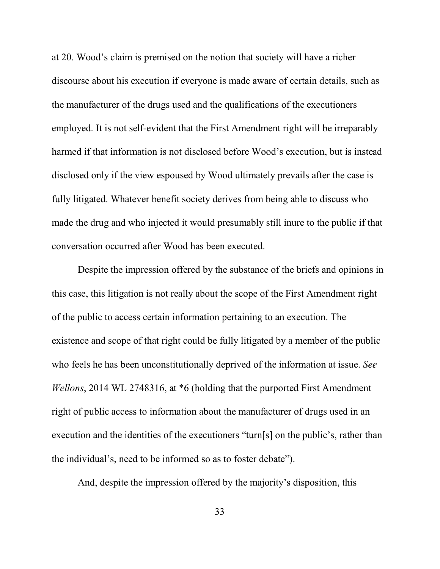at 20. Wood's claim is premised on the notion that society will have a richer discourse about his execution if everyone is made aware of certain details, such as the manufacturer of the drugs used and the qualifications of the executioners employed. It is not self-evident that the First Amendment right will be irreparably harmed if that information is not disclosed before Wood's execution, but is instead disclosed only if the view espoused by Wood ultimately prevails after the case is fully litigated. Whatever benefit society derives from being able to discuss who made the drug and who injected it would presumably still inure to the public if that conversation occurred after Wood has been executed.

Despite the impression offered by the substance of the briefs and opinions in this case, this litigation is not really about the scope of the First Amendment right of the public to access certain information pertaining to an execution. The existence and scope of that right could be fully litigated by a member of the public who feels he has been unconstitutionally deprived of the information at issue. *See Wellons*, 2014 WL 2748316, at \*6 (holding that the purported First Amendment right of public access to information about the manufacturer of drugs used in an execution and the identities of the executioners "turn[s] on the public's, rather than the individual's, need to be informed so as to foster debate").

And, despite the impression offered by the majority's disposition, this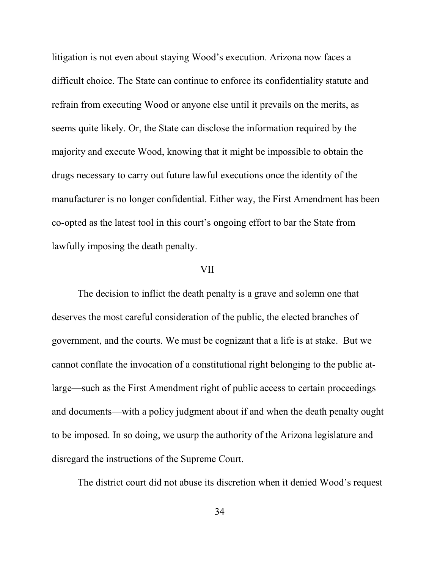litigation is not even about staying Wood's execution. Arizona now faces a difficult choice. The State can continue to enforce its confidentiality statute and refrain from executing Wood or anyone else until it prevails on the merits, as seems quite likely. Or, the State can disclose the information required by the majority and execute Wood, knowing that it might be impossible to obtain the drugs necessary to carry out future lawful executions once the identity of the manufacturer is no longer confidential. Either way, the First Amendment has been co-opted as the latest tool in this court's ongoing effort to bar the State from lawfully imposing the death penalty.

# VII

The decision to inflict the death penalty is a grave and solemn one that deserves the most careful consideration of the public, the elected branches of government, and the courts. We must be cognizant that a life is at stake. But we cannot conflate the invocation of a constitutional right belonging to the public atlarge—such as the First Amendment right of public access to certain proceedings and documents—with a policy judgment about if and when the death penalty ought to be imposed. In so doing, we usurp the authority of the Arizona legislature and disregard the instructions of the Supreme Court.

The district court did not abuse its discretion when it denied Wood's request